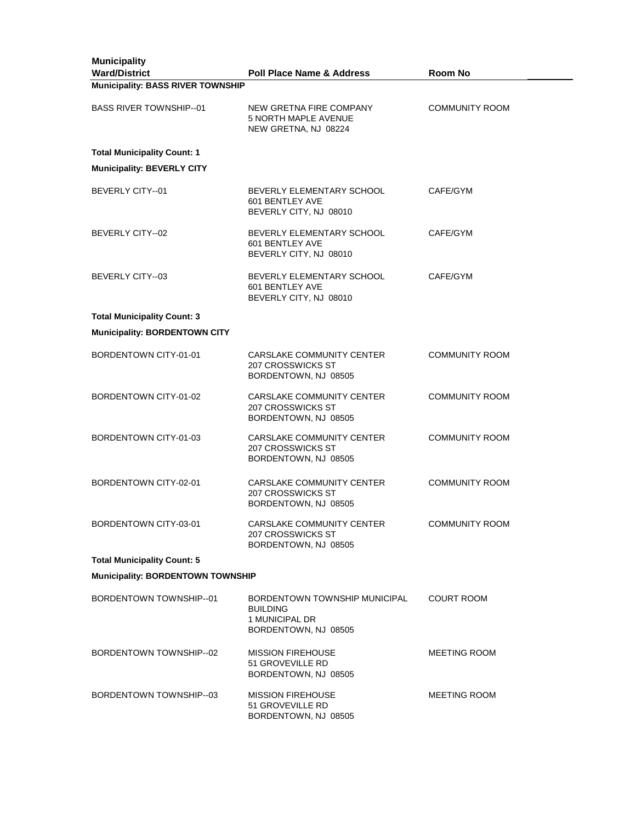| <b>Municipality</b><br><b>Ward/District</b> | <b>Poll Place Name &amp; Address</b>                                                       | Room No               |
|---------------------------------------------|--------------------------------------------------------------------------------------------|-----------------------|
| <b>Municipality: BASS RIVER TOWNSHIP</b>    |                                                                                            |                       |
| <b>BASS RIVER TOWNSHIP-01</b>               | NEW GRETNA FIRE COMPANY<br>5 NORTH MAPLE AVENUE<br>NEW GRETNA, NJ 08224                    | <b>COMMUNITY ROOM</b> |
| <b>Total Municipality Count: 1</b>          |                                                                                            |                       |
| <b>Municipality: BEVERLY CITY</b>           |                                                                                            |                       |
| BEVERLY CITY--01                            | BEVERLY ELEMENTARY SCHOOL<br>601 BENTLEY AVE<br>BEVERLY CITY, NJ 08010                     | CAFE/GYM              |
| BEVERLY CITY--02                            | BEVERLY ELEMENTARY SCHOOL<br>601 BENTLEY AVE<br>BEVERLY CITY, NJ 08010                     | CAFE/GYM              |
| BEVERLY CITY--03                            | BEVERLY ELEMENTARY SCHOOL<br>601 BENTLEY AVE<br>BEVERLY CITY, NJ 08010                     | CAFE/GYM              |
| <b>Total Municipality Count: 3</b>          |                                                                                            |                       |
| <b>Municipality: BORDENTOWN CITY</b>        |                                                                                            |                       |
| BORDENTOWN CITY-01-01                       | CARSLAKE COMMUNITY CENTER<br>207 CROSSWICKS ST<br>BORDENTOWN, NJ 08505                     | <b>COMMUNITY ROOM</b> |
| BORDENTOWN CITY-01-02                       | CARSLAKE COMMUNITY CENTER<br>207 CROSSWICKS ST<br>BORDENTOWN, NJ 08505                     | <b>COMMUNITY ROOM</b> |
| BORDENTOWN CITY-01-03                       | CARSLAKE COMMUNITY CENTER<br>207 CROSSWICKS ST<br>BORDENTOWN, NJ 08505                     | <b>COMMUNITY ROOM</b> |
| BORDENTOWN CITY-02-01                       | CARSLAKE COMMUNITY CENTER<br>207 CROSSWICKS ST<br>BORDENTOWN, NJ 08505                     | <b>COMMUNITY ROOM</b> |
| BORDENTOWN CITY-03-01                       | CARSLAKE COMMUNITY CENTER<br>207 CROSSWICKS ST<br>BORDENTOWN, NJ 08505                     | <b>COMMUNITY ROOM</b> |
| <b>Total Municipality Count: 5</b>          |                                                                                            |                       |
| Municipality: BORDENTOWN TOWNSHIP           |                                                                                            |                       |
| BORDENTOWN TOWNSHIP--01                     | BORDENTOWN TOWNSHIP MUNICIPAL<br><b>BUILDING</b><br>1 MUNICIPAL DR<br>BORDENTOWN, NJ 08505 | <b>COURT ROOM</b>     |
| BORDENTOWN TOWNSHIP--02                     | <b>MISSION FIREHOUSE</b><br>51 GROVEVILLE RD<br>BORDENTOWN, NJ 08505                       | <b>MEETING ROOM</b>   |
| BORDENTOWN TOWNSHIP-03                      | <b>MISSION FIREHOUSE</b><br>51 GROVEVILLE RD<br>BORDENTOWN, NJ 08505                       | <b>MEETING ROOM</b>   |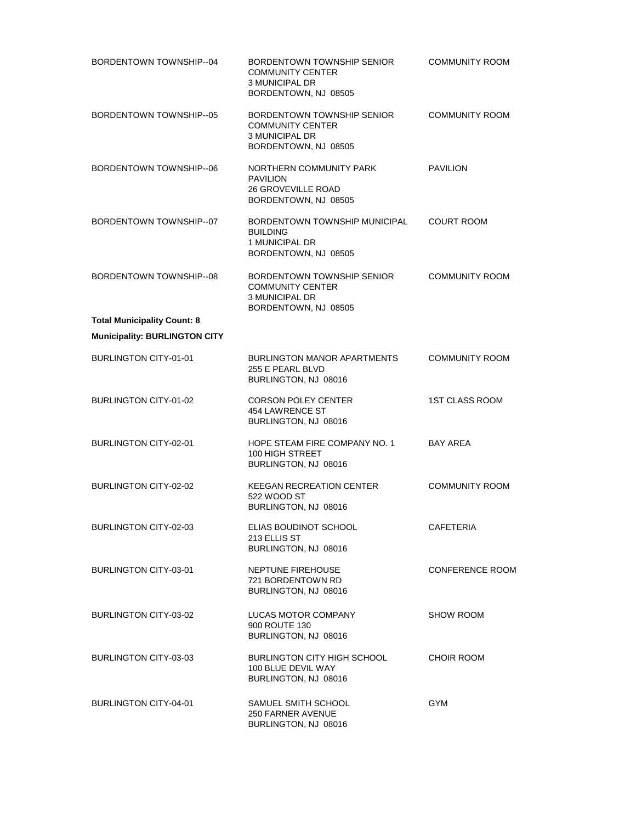| BORDENTOWN TOWNSHIP-04               | BORDENTOWN TOWNSHIP SENIOR<br><b>COMMUNITY CENTER</b><br><b>3 MUNICIPAL DR</b><br>BORDENTOWN, NJ 08505 | <b>COMMUNITY ROOM</b>  |
|--------------------------------------|--------------------------------------------------------------------------------------------------------|------------------------|
| BORDENTOWN TOWNSHIP--05              | BORDENTOWN TOWNSHIP SENIOR<br><b>COMMUNITY CENTER</b><br><b>3 MUNICIPAL DR</b><br>BORDENTOWN, NJ 08505 | <b>COMMUNITY ROOM</b>  |
| BORDENTOWN TOWNSHIP-06               | NORTHERN COMMUNITY PARK<br><b>PAVILION</b><br><b>26 GROVEVILLE ROAD</b><br>BORDENTOWN, NJ 08505        | <b>PAVILION</b>        |
| BORDENTOWN TOWNSHIP--07              | BORDENTOWN TOWNSHIP MUNICIPAL<br><b>BUILDING</b><br>1 MUNICIPAL DR<br>BORDENTOWN, NJ 08505             | <b>COURT ROOM</b>      |
| BORDENTOWN TOWNSHIP-08               | BORDENTOWN TOWNSHIP SENIOR<br><b>COMMUNITY CENTER</b><br><b>3 MUNICIPAL DR</b><br>BORDENTOWN, NJ 08505 | <b>COMMUNITY ROOM</b>  |
| <b>Total Municipality Count: 8</b>   |                                                                                                        |                        |
| <b>Municipality: BURLINGTON CITY</b> |                                                                                                        |                        |
| <b>BURLINGTON CITY-01-01</b>         | <b>BURLINGTON MANOR APARTMENTS</b><br>255 E PEARL BLVD<br>BURLINGTON, NJ 08016                         | COMMUNITY ROOM         |
| BURLINGTON CITY-01-02                | <b>CORSON POLEY CENTER</b><br>454 LAWRENCE ST<br>BURLINGTON, NJ 08016                                  | <b>1ST CLASS ROOM</b>  |
| <b>BURLINGTON CITY-02-01</b>         | HOPE STEAM FIRE COMPANY NO. 1<br>100 HIGH STREET<br>BURLINGTON, NJ 08016                               | <b>BAY AREA</b>        |
| BURLINGTON CITY-02-02                | <b>KEEGAN RECREATION CENTER</b><br>522 WOOD ST<br>BURLINGTON, NJ 08016                                 | <b>COMMUNITY ROOM</b>  |
| BURLINGTON CITY-02-03                | ELIAS BOUDINOT SCHOOL<br>213 ELLIS ST<br>BURLINGTON, NJ 08016                                          | <b>CAFETERIA</b>       |
| BURLINGTON CITY-03-01                | NEPTUNE FIREHOUSE<br>721 BORDENTOWN RD<br>BURLINGTON, NJ 08016                                         | <b>CONFERENCE ROOM</b> |
| BURLINGTON CITY-03-02                | LUCAS MOTOR COMPANY<br>900 ROUTE 130<br>BURLINGTON, NJ 08016                                           | <b>SHOW ROOM</b>       |
| BURLINGTON CITY-03-03                | BURLINGTON CITY HIGH SCHOOL<br>100 BLUE DEVIL WAY<br>BURLINGTON, NJ 08016                              | <b>CHOIR ROOM</b>      |
| BURLINGTON CITY-04-01                | SAMUEL SMITH SCHOOL<br>250 FARNER AVENUE<br>BURLINGTON, NJ 08016                                       | GYM                    |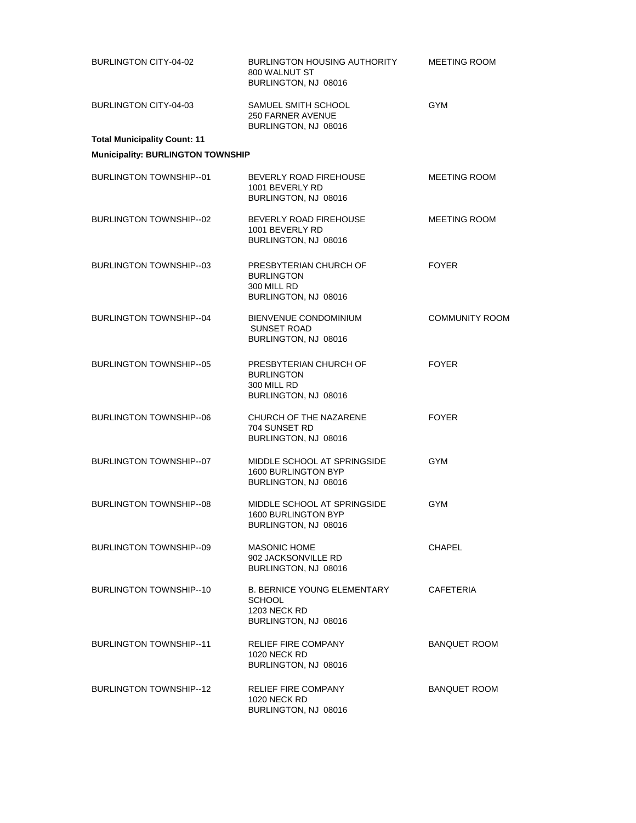| BURLINGTON CITY-04-02                    | BURLINGTON HOUSING AUTHORITY<br>800 WALNUT ST<br>BURLINGTON, NJ 08016                       | <b>MEETING ROOM</b>   |
|------------------------------------------|---------------------------------------------------------------------------------------------|-----------------------|
| BURLINGTON CITY-04-03                    | SAMUEL SMITH SCHOOL<br>250 FARNER AVENUE<br>BURLINGTON, NJ 08016                            | <b>GYM</b>            |
| <b>Total Municipality Count: 11</b>      |                                                                                             |                       |
| <b>Municipality: BURLINGTON TOWNSHIP</b> |                                                                                             |                       |
| <b>BURLINGTON TOWNSHIP--01</b>           | BEVERLY ROAD FIREHOUSE<br>1001 BEVERLY RD<br>BURLINGTON, NJ 08016                           | MEETING ROOM          |
| BURLINGTON TOWNSHIP--02                  | BEVERLY ROAD FIREHOUSE<br>1001 BEVERLY RD<br>BURLINGTON, NJ 08016                           | MEETING ROOM          |
| <b>BURLINGTON TOWNSHIP-03</b>            | PRESBYTERIAN CHURCH OF<br><b>BURLINGTON</b><br>300 MILL RD<br>BURLINGTON, NJ 08016          | <b>FOYER</b>          |
| <b>BURLINGTON TOWNSHIP-04</b>            | BIENVENUE CONDOMINIUM<br>SUNSET ROAD<br>BURLINGTON, NJ 08016                                | <b>COMMUNITY ROOM</b> |
| <b>BURLINGTON TOWNSHIP-05</b>            | PRESBYTERIAN CHURCH OF<br><b>BURLINGTON</b><br>300 MILL RD<br>BURLINGTON, NJ 08016          | <b>FOYER</b>          |
| <b>BURLINGTON TOWNSHIP--06</b>           | CHURCH OF THE NAZARENE<br>704 SUNSET RD<br>BURLINGTON, NJ 08016                             | <b>FOYER</b>          |
| <b>BURLINGTON TOWNSHIP-07</b>            | MIDDLE SCHOOL AT SPRINGSIDE<br>1600 BURLINGTON BYP<br>BURLINGTON, NJ 08016                  | <b>GYM</b>            |
| <b>BURLINGTON TOWNSHIP--08</b>           | MIDDLE SCHOOL AT SPRINGSIDE<br><b>1600 BURLINGTON BYP</b><br>BURLINGTON, NJ 08016           | <b>GYM</b>            |
| BURLINGTON TOWNSHIP--09                  | <b>MASONIC HOME</b><br>902 JACKSONVILLE RD<br>BURLINGTON, NJ 08016                          | <b>CHAPEL</b>         |
| <b>BURLINGTON TOWNSHIP-10</b>            | <b>B. BERNICE YOUNG ELEMENTARY</b><br>SCHOOL<br><b>1203 NECK RD</b><br>BURLINGTON, NJ 08016 | CAFETERIA             |
| <b>BURLINGTON TOWNSHIP--11</b>           | <b>RELIEF FIRE COMPANY</b><br><b>1020 NECK RD</b><br>BURLINGTON, NJ 08016                   | <b>BANQUET ROOM</b>   |
| <b>BURLINGTON TOWNSHIP--12</b>           | RELIEF FIRE COMPANY<br><b>1020 NECK RD</b><br>BURLINGTON, NJ 08016                          | <b>BANQUET ROOM</b>   |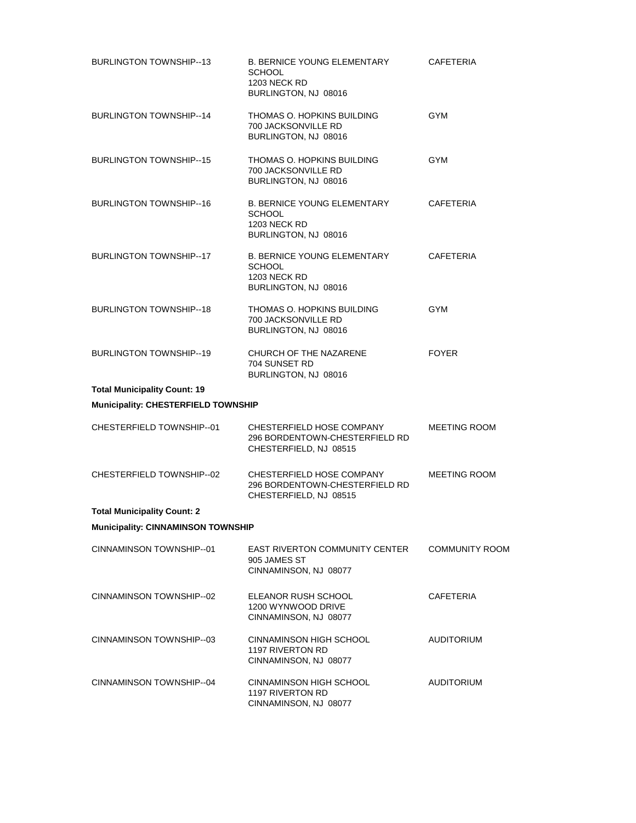| <b>BURLINGTON TOWNSHIP-13</b>              | <b>B. BERNICE YOUNG ELEMENTARY</b><br><b>SCHOOL</b><br><b>1203 NECK RD</b><br>BURLINGTON, NJ 08016 | CAFETERIA             |
|--------------------------------------------|----------------------------------------------------------------------------------------------------|-----------------------|
| <b>BURLINGTON TOWNSHIP-14</b>              | THOMAS O. HOPKINS BUILDING<br>700 JACKSONVILLE RD<br>BURLINGTON, NJ 08016                          | <b>GYM</b>            |
| <b>BURLINGTON TOWNSHIP--15</b>             | THOMAS O. HOPKINS BUILDING<br>700 JACKSONVILLE RD<br>BURLINGTON, NJ 08016                          | <b>GYM</b>            |
| <b>BURLINGTON TOWNSHIP-16</b>              | <b>B. BERNICE YOUNG ELEMENTARY</b><br><b>SCHOOL</b><br><b>1203 NECK RD</b><br>BURLINGTON, NJ 08016 | <b>CAFETERIA</b>      |
| <b>BURLINGTON TOWNSHIP--17</b>             | <b>B. BERNICE YOUNG ELEMENTARY</b><br><b>SCHOOL</b><br><b>1203 NECK RD</b><br>BURLINGTON, NJ 08016 | <b>CAFETERIA</b>      |
| <b>BURLINGTON TOWNSHIP--18</b>             | THOMAS O. HOPKINS BUILDING<br>700 JACKSONVILLE RD<br>BURLINGTON, NJ 08016                          | GYM                   |
| <b>BURLINGTON TOWNSHIP--19</b>             | CHURCH OF THE NAZARENE<br>704 SUNSET RD<br>BURLINGTON, NJ 08016                                    | <b>FOYER</b>          |
| <b>Total Municipality Count: 19</b>        |                                                                                                    |                       |
| <b>Municipality: CHESTERFIELD TOWNSHIP</b> |                                                                                                    |                       |
| CHESTERFIELD TOWNSHIP--01                  | CHESTERFIELD HOSE COMPANY<br>296 BORDENTOWN-CHESTERFIELD RD<br>CHESTERFIELD, NJ 08515              | <b>MEETING ROOM</b>   |
| CHESTERFIELD TOWNSHIP--02                  | CHESTERFIELD HOSE COMPANY<br>296 BORDENTOWN-CHESTERFIELD RD<br>CHESTERFIELD, NJ 08515              | <b>MEETING ROOM</b>   |
| <b>Total Municipality Count: 2</b>         |                                                                                                    |                       |
| <b>Municipality: CINNAMINSON TOWNSHIP</b>  |                                                                                                    |                       |
| CINNAMINSON TOWNSHIP--01                   | <b>EAST RIVERTON COMMUNITY CENTER</b><br>905 JAMES ST<br>CINNAMINSON, NJ 08077                     | <b>COMMUNITY ROOM</b> |
| CINNAMINSON TOWNSHIP--02                   | ELEANOR RUSH SCHOOL<br>1200 WYNWOOD DRIVE<br>CINNAMINSON, NJ 08077                                 | <b>CAFETERIA</b>      |
| CINNAMINSON TOWNSHIP--03                   | CINNAMINSON HIGH SCHOOL<br>1197 RIVERTON RD<br>CINNAMINSON, NJ 08077                               | <b>AUDITORIUM</b>     |
| CINNAMINSON TOWNSHIP-04                    | CINNAMINSON HIGH SCHOOL<br>1197 RIVERTON RD<br>CINNAMINSON, NJ 08077                               | <b>AUDITORIUM</b>     |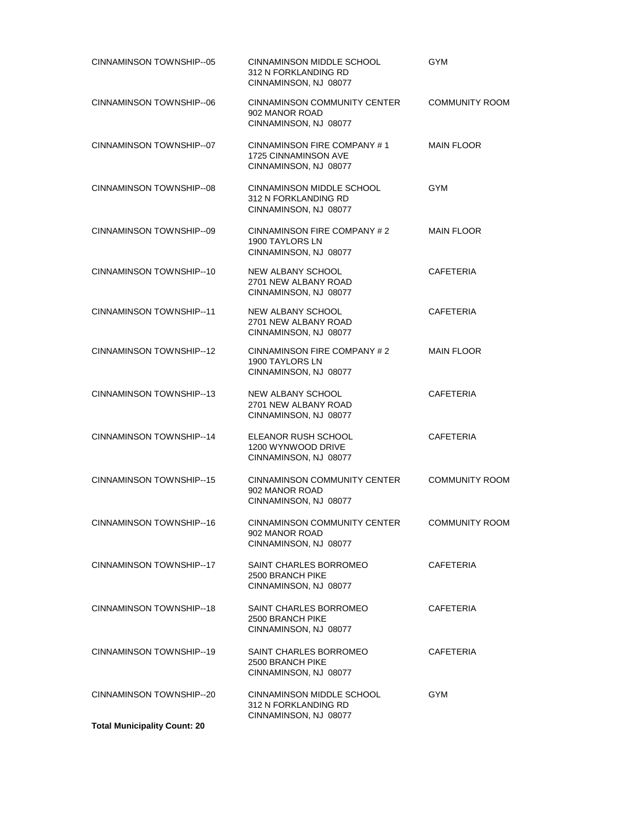| CINNAMINSON TOWNSHIP-05             | CINNAMINSON MIDDLE SCHOOL<br>312 N FORKLANDING RD<br>CINNAMINSON, NJ 08077   | <b>GYM</b>            |
|-------------------------------------|------------------------------------------------------------------------------|-----------------------|
| CINNAMINSON TOWNSHIP-06             | CINNAMINSON COMMUNITY CENTER<br>902 MANOR ROAD<br>CINNAMINSON, NJ 08077      | <b>COMMUNITY ROOM</b> |
| CINNAMINSON TOWNSHIP-07             | CINNAMINSON FIRE COMPANY #1<br>1725 CINNAMINSON AVE<br>CINNAMINSON, NJ 08077 | <b>MAIN FLOOR</b>     |
| CINNAMINSON TOWNSHIP-08             | CINNAMINSON MIDDLE SCHOOL<br>312 N FORKLANDING RD<br>CINNAMINSON, NJ 08077   | <b>GYM</b>            |
| CINNAMINSON TOWNSHIP-09             | CINNAMINSON FIRE COMPANY #2<br>1900 TAYLORS LN<br>CINNAMINSON, NJ 08077      | <b>MAIN FLOOR</b>     |
| CINNAMINSON TOWNSHIP-10             | NEW ALBANY SCHOOL<br>2701 NEW ALBANY ROAD<br>CINNAMINSON, NJ 08077           | <b>CAFETERIA</b>      |
| CINNAMINSON TOWNSHIP--11            | <b>NEW ALBANY SCHOOL</b><br>2701 NEW ALBANY ROAD<br>CINNAMINSON, NJ 08077    | <b>CAFETERIA</b>      |
| CINNAMINSON TOWNSHIP--12            | CINNAMINSON FIRE COMPANY # 2<br>1900 TAYLORS LN<br>CINNAMINSON, NJ 08077     | <b>MAIN FLOOR</b>     |
| CINNAMINSON TOWNSHIP-13             | NEW ALBANY SCHOOL<br>2701 NEW ALBANY ROAD<br>CINNAMINSON, NJ 08077           | <b>CAFETERIA</b>      |
| CINNAMINSON TOWNSHIP-14             | ELEANOR RUSH SCHOOL<br>1200 WYNWOOD DRIVE<br>CINNAMINSON, NJ 08077           | <b>CAFETERIA</b>      |
| CINNAMINSON TOWNSHIP-15             | CINNAMINSON COMMUNITY CENTER<br>902 MANOR ROAD<br>CINNAMINSON, NJ 08077      | <b>COMMUNITY ROOM</b> |
| CINNAMINSON TOWNSHIP-16             | CINNAMINSON COMMUNITY CENTER<br>902 MANOR ROAD<br>CINNAMINSON, NJ 08077      | <b>COMMUNITY ROOM</b> |
| CINNAMINSON TOWNSHIP-17             | SAINT CHARLES BORROMEO<br>2500 BRANCH PIKE<br>CINNAMINSON, NJ 08077          | <b>CAFETERIA</b>      |
| CINNAMINSON TOWNSHIP-18             | SAINT CHARLES BORROMEO<br>2500 BRANCH PIKE<br>CINNAMINSON, NJ 08077          | CAFETERIA             |
| CINNAMINSON TOWNSHIP-19             | SAINT CHARLES BORROMEO<br>2500 BRANCH PIKE<br>CINNAMINSON, NJ 08077          | <b>CAFETERIA</b>      |
| CINNAMINSON TOWNSHIP-20             | CINNAMINSON MIDDLE SCHOOL<br>312 N FORKLANDING RD<br>CINNAMINSON, NJ 08077   | <b>GYM</b>            |
| <b>Total Municipality Count: 20</b> |                                                                              |                       |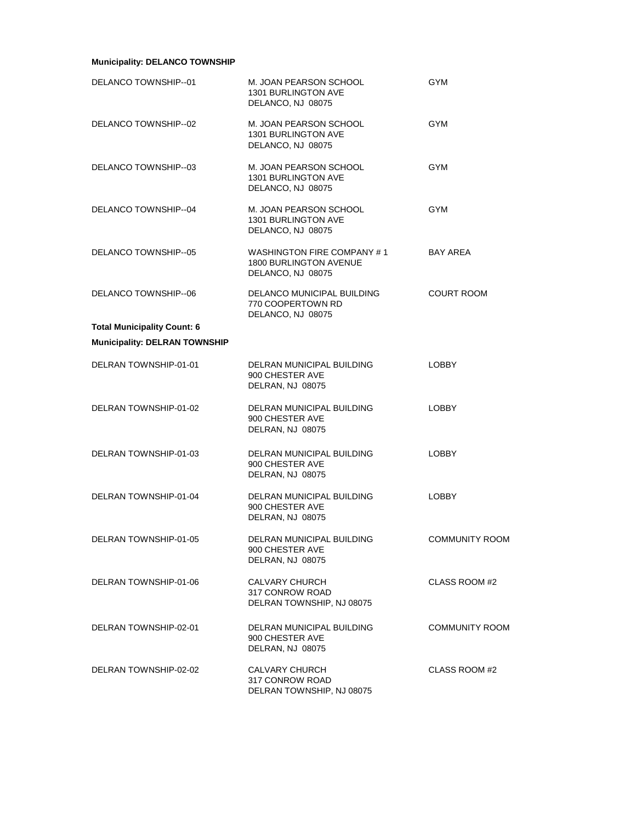# **Municipality: DELANCO TOWNSHIP**

| DELANCO TOWNSHIP--01                 | M. JOAN PEARSON SCHOOL<br>1301 BURLINGTON AVE<br>DELANCO, NJ 08075               | <b>GYM</b>            |
|--------------------------------------|----------------------------------------------------------------------------------|-----------------------|
| DELANCO TOWNSHIP--02                 | M. JOAN PEARSON SCHOOL<br>1301 BURLINGTON AVE<br>DELANCO, NJ 08075               | <b>GYM</b>            |
| DELANCO TOWNSHIP--03                 | M. JOAN PEARSON SCHOOL<br>1301 BURLINGTON AVE<br>DELANCO, NJ 08075               | <b>GYM</b>            |
| DELANCO TOWNSHIP--04                 | M. JOAN PEARSON SCHOOL<br>1301 BURLINGTON AVE<br>DELANCO, NJ 08075               | GYM                   |
| DELANCO TOWNSHIP--05                 | WASHINGTON FIRE COMPANY #1<br><b>1800 BURLINGTON AVENUE</b><br>DELANCO, NJ 08075 | <b>BAY AREA</b>       |
| DELANCO TOWNSHIP--06                 | DELANCO MUNICIPAL BUILDING<br>770 COOPERTOWN RD<br>DELANCO, NJ 08075             | <b>COURT ROOM</b>     |
| <b>Total Municipality Count: 6</b>   |                                                                                  |                       |
| <b>Municipality: DELRAN TOWNSHIP</b> |                                                                                  |                       |
| DELRAN TOWNSHIP-01-01                | DELRAN MUNICIPAL BUILDING<br>900 CHESTER AVE<br>DELRAN, NJ 08075                 | <b>LOBBY</b>          |
| DELRAN TOWNSHIP-01-02                | DELRAN MUNICIPAL BUILDING<br>900 CHESTER AVE<br>DELRAN, NJ 08075                 | LOBBY                 |
| DELRAN TOWNSHIP-01-03                | DELRAN MUNICIPAL BUILDING<br>900 CHESTER AVE<br>DELRAN, NJ 08075                 | <b>LOBBY</b>          |
| DELRAN TOWNSHIP-01-04                | DELRAN MUNICIPAL BUILDING<br>900 CHESTER AVE<br>DELRAN, NJ 08075                 | <b>LOBBY</b>          |
| DELRAN TOWNSHIP-01-05                | DELRAN MUNICIPAL BUILDING<br>900 CHESTER AVE<br>DELRAN, NJ 08075                 | <b>COMMUNITY ROOM</b> |
| DELRAN TOWNSHIP-01-06                | <b>CALVARY CHURCH</b><br>317 CONROW ROAD<br>DELRAN TOWNSHIP, NJ 08075            | CLASS ROOM #2         |
| DELRAN TOWNSHIP-02-01                | DELRAN MUNICIPAL BUILDING<br>900 CHESTER AVE<br>DELRAN, NJ 08075                 | <b>COMMUNITY ROOM</b> |
| DELRAN TOWNSHIP-02-02                | CALVARY CHURCH<br>317 CONROW ROAD<br>DELRAN TOWNSHIP, NJ 08075                   | CLASS ROOM #2         |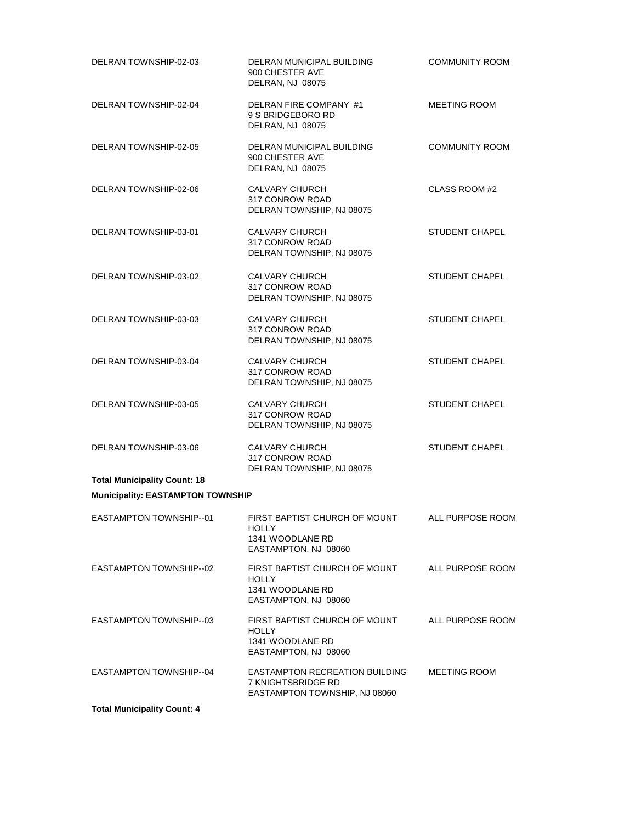| DELRAN TOWNSHIP-02-03                    | DELRAN MUNICIPAL BUILDING<br>900 CHESTER AVE<br>DELRAN, NJ 08075                          | <b>COMMUNITY ROOM</b> |
|------------------------------------------|-------------------------------------------------------------------------------------------|-----------------------|
| DELRAN TOWNSHIP-02-04                    | DELRAN FIRE COMPANY #1<br>9 S BRIDGEBORO RD<br>DELRAN, NJ 08075                           | <b>MEETING ROOM</b>   |
| DELRAN TOWNSHIP-02-05                    | DELRAN MUNICIPAL BUILDING<br>900 CHESTER AVE<br>DELRAN, NJ 08075                          | <b>COMMUNITY ROOM</b> |
| DELRAN TOWNSHIP-02-06                    | <b>CALVARY CHURCH</b><br>317 CONROW ROAD<br>DELRAN TOWNSHIP, NJ 08075                     | CLASS ROOM #2         |
| DELRAN TOWNSHIP-03-01                    | CALVARY CHURCH<br>317 CONROW ROAD<br>DELRAN TOWNSHIP, NJ 08075                            | STUDENT CHAPEL        |
| DELRAN TOWNSHIP-03-02                    | <b>CALVARY CHURCH</b><br>317 CONROW ROAD<br>DELRAN TOWNSHIP, NJ 08075                     | <b>STUDENT CHAPEL</b> |
| DELRAN TOWNSHIP-03-03                    | CALVARY CHURCH<br>317 CONROW ROAD<br>DELRAN TOWNSHIP, NJ 08075                            | <b>STUDENT CHAPEL</b> |
| DELRAN TOWNSHIP-03-04                    | <b>CALVARY CHURCH</b><br>317 CONROW ROAD<br>DELRAN TOWNSHIP, NJ 08075                     | <b>STUDENT CHAPEL</b> |
| DELRAN TOWNSHIP-03-05                    | <b>CALVARY CHURCH</b><br>317 CONROW ROAD<br>DELRAN TOWNSHIP, NJ 08075                     | <b>STUDENT CHAPEL</b> |
| DELRAN TOWNSHIP-03-06                    | <b>CALVARY CHURCH</b><br>317 CONROW ROAD<br>DELRAN TOWNSHIP, NJ 08075                     | <b>STUDENT CHAPEL</b> |
| <b>Total Municipality Count: 18</b>      |                                                                                           |                       |
| <b>Municipality: EASTAMPTON TOWNSHIP</b> |                                                                                           |                       |
| EASTAMPTON TOWNSHIP--01                  | FIRST BAPTIST CHURCH OF MOUNT<br><b>HOLLY</b><br>1341 WOODLANE RD<br>EASTAMPTON, NJ 08060 | ALL PURPOSE ROOM      |
| EASTAMPTON TOWNSHIP--02                  | FIRST BAPTIST CHURCH OF MOUNT<br><b>HOLLY</b><br>1341 WOODLANE RD<br>EASTAMPTON, NJ 08060 | ALL PURPOSE ROOM      |
| <b>EASTAMPTON TOWNSHIP-03</b>            | FIRST BAPTIST CHURCH OF MOUNT<br><b>HOLLY</b><br>1341 WOODLANE RD<br>EASTAMPTON, NJ 08060 | ALL PURPOSE ROOM      |
| <b>EASTAMPTON TOWNSHIP-04</b>            | EASTAMPTON RECREATION BUILDING<br>7 KNIGHTSBRIDGE RD<br>EASTAMPTON TOWNSHIP, NJ 08060     | <b>MEETING ROOM</b>   |
| <b>Total Municipality Count: 4</b>       |                                                                                           |                       |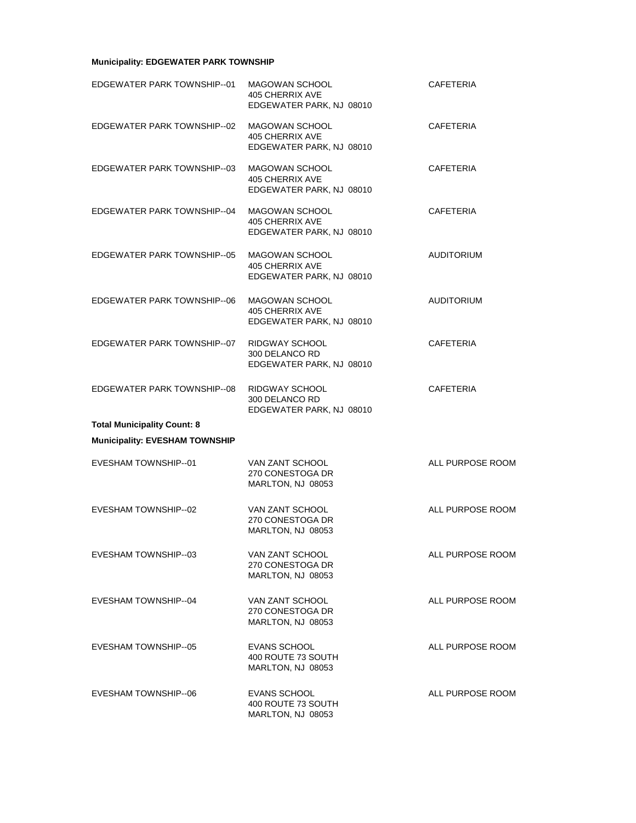# **Municipality: EDGEWATER PARK TOWNSHIP**

| EDGEWATER PARK TOWNSHIP--01           | <b>MAGOWAN SCHOOL</b><br>405 CHERRIX AVE<br>EDGEWATER PARK, NJ 08010        | CAFETERIA         |
|---------------------------------------|-----------------------------------------------------------------------------|-------------------|
| EDGEWATER PARK TOWNSHIP--02           | MAGOWAN SCHOOL<br>405 CHERRIX AVE<br>EDGEWATER PARK, NJ 08010               | <b>CAFETERIA</b>  |
| EDGEWATER PARK TOWNSHIP--03           | <b>MAGOWAN SCHOOL</b><br>405 CHERRIX AVE<br>EDGEWATER PARK, NJ 08010        | <b>CAFETERIA</b>  |
| EDGEWATER PARK TOWNSHIP--04           | <b>MAGOWAN SCHOOL</b><br>405 CHERRIX AVE<br>EDGEWATER PARK, NJ 08010        | <b>CAFETERIA</b>  |
| EDGEWATER PARK TOWNSHIP--05           | <b>MAGOWAN SCHOOL</b><br><b>405 CHERRIX AVE</b><br>EDGEWATER PARK, NJ 08010 | <b>AUDITORIUM</b> |
| EDGEWATER PARK TOWNSHIP--06           | MAGOWAN SCHOOL<br>405 CHERRIX AVE<br>EDGEWATER PARK, NJ 08010               | <b>AUDITORIUM</b> |
| EDGEWATER PARK TOWNSHIP--07           | RIDGWAY SCHOOL<br>300 DELANCO RD<br>EDGEWATER PARK, NJ 08010                | <b>CAFETERIA</b>  |
| EDGEWATER PARK TOWNSHIP--08           | RIDGWAY SCHOOL<br>300 DELANCO RD<br>EDGEWATER PARK, NJ 08010                | <b>CAFETERIA</b>  |
| <b>Total Municipality Count: 8</b>    |                                                                             |                   |
| <b>Municipality: EVESHAM TOWNSHIP</b> |                                                                             |                   |
| EVESHAM TOWNSHIP--01                  | VAN ZANT SCHOOL<br>270 CONESTOGA DR<br>MARLTON, NJ 08053                    | ALL PURPOSE ROOM  |
| EVESHAM TOWNSHIP--02                  | VAN ZANT SCHOOL<br>270 CONESTOGA DR<br>MARLTON, NJ 08053                    | ALL PURPOSE ROOM  |
| EVESHAM TOWNSHIP--03                  | VAN ZANT SCHOOL<br>270 CONESTOGA DR<br>MARLTON, NJ 08053                    | ALL PURPOSE ROOM  |
| EVESHAM TOWNSHIP--04                  | VAN ZANT SCHOOL<br>270 CONESTOGA DR<br>MARLTON, NJ 08053                    | ALL PURPOSE ROOM  |
| EVESHAM TOWNSHIP--05                  | <b>EVANS SCHOOL</b><br>400 ROUTE 73 SOUTH<br>MARLTON, NJ 08053              | ALL PURPOSE ROOM  |
| EVESHAM TOWNSHIP--06                  | <b>EVANS SCHOOL</b><br>400 ROUTE 73 SOUTH<br>MARLTON, NJ 08053              | ALL PURPOSE ROOM  |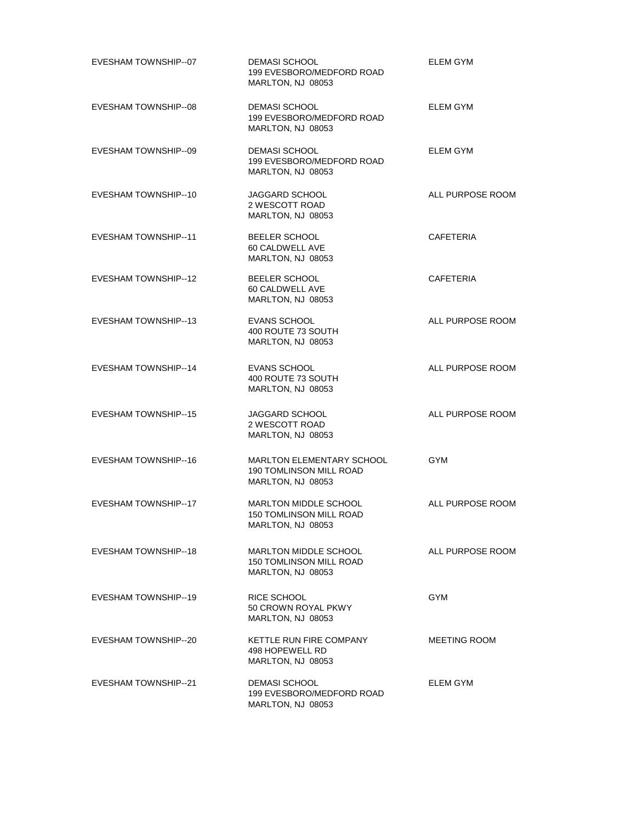| EVESHAM TOWNSHIP--07        | <b>DEMASI SCHOOL</b><br>199 EVESBORO/MEDFORD ROAD<br>MARLTON, NJ 08053                  | <b>ELEM GYM</b>     |
|-----------------------------|-----------------------------------------------------------------------------------------|---------------------|
| EVESHAM TOWNSHIP--08        | <b>DEMASI SCHOOL</b><br>199 EVESBORO/MEDFORD ROAD<br>MARLTON, NJ 08053                  | ELEM GYM            |
| EVESHAM TOWNSHIP--09        | <b>DEMASI SCHOOL</b><br>199 EVESBORO/MEDFORD ROAD<br>MARLTON, NJ 08053                  | ELEM GYM            |
| EVESHAM TOWNSHIP--10        | JAGGARD SCHOOL<br>2 WESCOTT ROAD<br>MARLTON, NJ 08053                                   | ALL PURPOSE ROOM    |
| EVESHAM TOWNSHIP--11        | <b>BEELER SCHOOL</b><br>60 CALDWELL AVE<br>MARLTON, NJ 08053                            | <b>CAFETERIA</b>    |
| EVESHAM TOWNSHIP--12        | BEELER SCHOOL<br>60 CALDWELL AVE<br>MARLTON, NJ 08053                                   | <b>CAFETERIA</b>    |
| EVESHAM TOWNSHIP--13        | <b>EVANS SCHOOL</b><br>400 ROUTE 73 SOUTH<br>MARLTON, NJ 08053                          | ALL PURPOSE ROOM    |
| <b>EVESHAM TOWNSHIP--14</b> | <b>EVANS SCHOOL</b><br>400 ROUTE 73 SOUTH<br>MARLTON, NJ 08053                          | ALL PURPOSE ROOM    |
| <b>EVESHAM TOWNSHIP--15</b> | JAGGARD SCHOOL<br>2 WESCOTT ROAD<br>MARLTON, NJ 08053                                   | ALL PURPOSE ROOM    |
| EVESHAM TOWNSHIP--16        | <b>MARLTON ELEMENTARY SCHOOL</b><br><b>190 TOMLINSON MILL ROAD</b><br>MARLTON, NJ 08053 | <b>GYM</b>          |
| <b>EVESHAM TOWNSHIP--17</b> | <b>MARLTON MIDDLE SCHOOL</b><br>150 TOMLINSON MILL ROAD<br>MARLTON, NJ 08053            | ALL PURPOSE ROOM    |
| EVESHAM TOWNSHIP--18        | <b>MARLTON MIDDLE SCHOOL</b><br><b>150 TOMLINSON MILL ROAD</b><br>MARLTON, NJ 08053     | ALL PURPOSE ROOM    |
| EVESHAM TOWNSHIP--19        | RICE SCHOOL<br>50 CROWN ROYAL PKWY<br>MARLTON, NJ 08053                                 | <b>GYM</b>          |
| EVESHAM TOWNSHIP--20        | KETTLE RUN FIRE COMPANY<br>498 HOPEWELL RD<br>MARLTON, NJ 08053                         | <b>MEETING ROOM</b> |
| EVESHAM TOWNSHIP--21        | <b>DEMASI SCHOOL</b><br>199 EVESBORO/MEDFORD ROAD<br>MARLTON, NJ 08053                  | ELEM GYM            |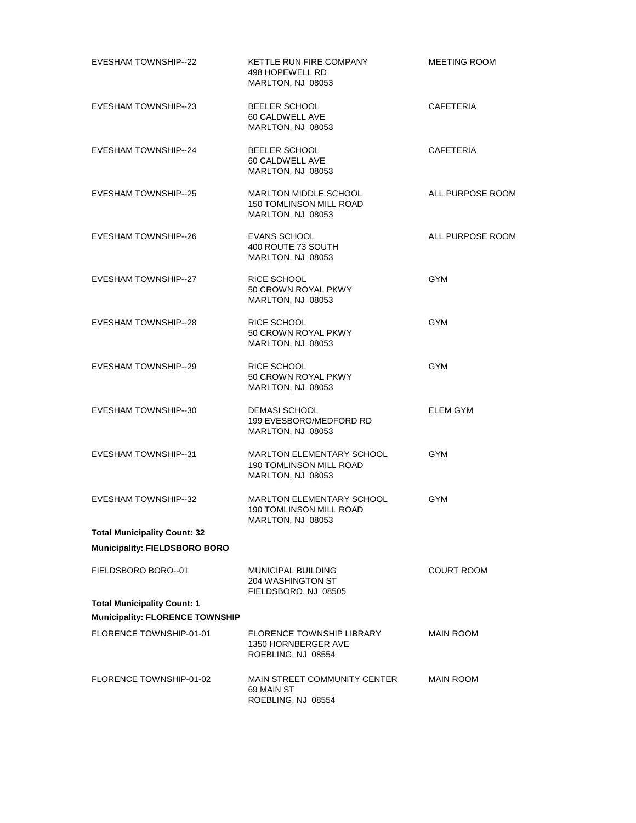| EVESHAM TOWNSHIP--22                                                         | KETTLE RUN FIRE COMPANY<br>498 HOPEWELL RD<br>MARLTON, NJ 08053                         | <b>MEETING ROOM</b> |
|------------------------------------------------------------------------------|-----------------------------------------------------------------------------------------|---------------------|
| <b>EVESHAM TOWNSHIP--23</b>                                                  | BEELER SCHOOL<br>60 CALDWELL AVE<br>MARLTON, NJ 08053                                   | <b>CAFETERIA</b>    |
| EVESHAM TOWNSHIP--24                                                         | BEELER SCHOOL<br>60 CALDWELL AVE<br>MARLTON, NJ 08053                                   | <b>CAFETERIA</b>    |
| <b>EVESHAM TOWNSHIP--25</b>                                                  | <b>MARLTON MIDDLE SCHOOL</b><br><b>150 TOMLINSON MILL ROAD</b><br>MARLTON, NJ 08053     | ALL PURPOSE ROOM    |
| <b>EVESHAM TOWNSHIP--26</b>                                                  | <b>EVANS SCHOOL</b><br>400 ROUTE 73 SOUTH<br>MARLTON, NJ 08053                          | ALL PURPOSE ROOM    |
| EVESHAM TOWNSHIP--27                                                         | RICE SCHOOL<br>50 CROWN ROYAL PKWY<br>MARLTON, NJ 08053                                 | <b>GYM</b>          |
| EVESHAM TOWNSHIP--28                                                         | RICE SCHOOL<br>50 CROWN ROYAL PKWY<br>MARLTON, NJ 08053                                 | <b>GYM</b>          |
| EVESHAM TOWNSHIP--29                                                         | RICE SCHOOL<br>50 CROWN ROYAL PKWY<br>MARLTON, NJ 08053                                 | <b>GYM</b>          |
| EVESHAM TOWNSHIP--30                                                         | <b>DEMASI SCHOOL</b><br>199 EVESBORO/MEDFORD RD<br>MARLTON, NJ 08053                    | ELEM GYM            |
| EVESHAM TOWNSHIP--31                                                         | MARLTON ELEMENTARY SCHOOL<br><b>190 TOMLINSON MILL ROAD</b><br>MARLTON, NJ 08053        | <b>GYM</b>          |
| <b>EVESHAM TOWNSHIP--32</b>                                                  | <b>MARLTON ELEMENTARY SCHOOL</b><br><b>190 TOMLINSON MILL ROAD</b><br>MARLTON, NJ 08053 | <b>GYM</b>          |
| <b>Total Municipality Count: 32</b>                                          |                                                                                         |                     |
| <b>Municipality: FIELDSBORO BORO</b>                                         |                                                                                         |                     |
| FIELDSBORO BORO--01                                                          | MUNICIPAL BUILDING<br>204 WASHINGTON ST<br>FIELDSBORO, NJ 08505                         | <b>COURT ROOM</b>   |
| <b>Total Municipality Count: 1</b><br><b>Municipality: FLORENCE TOWNSHIP</b> |                                                                                         |                     |
| FLORENCE TOWNSHIP-01-01                                                      | <b>FLORENCE TOWNSHIP LIBRARY</b><br>1350 HORNBERGER AVE<br>ROEBLING, NJ 08554           | <b>MAIN ROOM</b>    |
| FLORENCE TOWNSHIP-01-02                                                      | <b>MAIN STREET COMMUNITY CENTER</b><br>69 MAIN ST<br>ROEBLING, NJ 08554                 | <b>MAIN ROOM</b>    |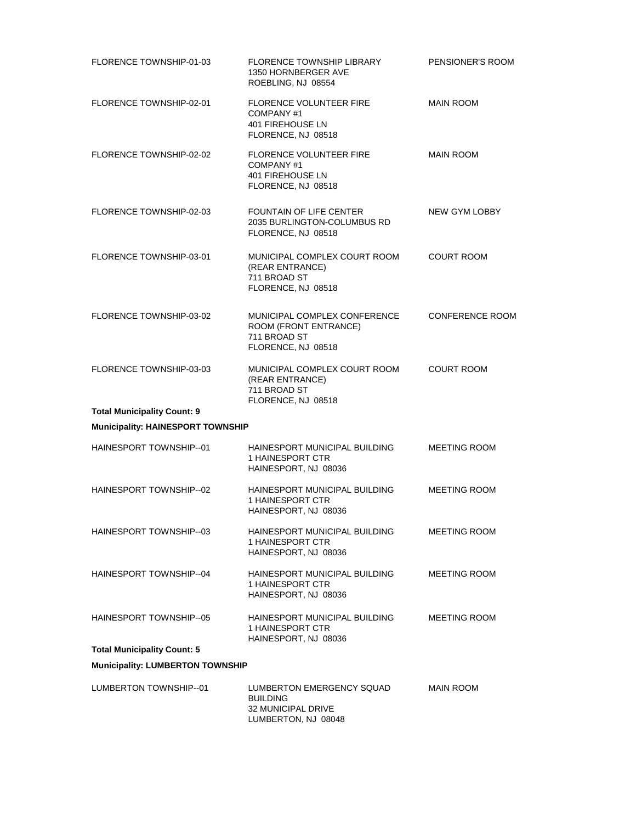| FLORENCE TOWNSHIP-01-03                  | <b>FLORENCE TOWNSHIP LIBRARY</b><br>1350 HORNBERGER AVE<br>ROEBLING, NJ 08554                    | PENSIONER'S ROOM       |
|------------------------------------------|--------------------------------------------------------------------------------------------------|------------------------|
| FLORENCE TOWNSHIP-02-01                  | <b>FLORENCE VOLUNTEER FIRE</b><br>COMPANY#1<br><b>401 FIREHOUSE LN</b><br>FLORENCE, NJ 08518     | <b>MAIN ROOM</b>       |
| FLORENCE TOWNSHIP-02-02                  | <b>FLORENCE VOLUNTEER FIRE</b><br>COMPANY#1<br><b>401 FIREHOUSE LN</b><br>FLORENCE, NJ 08518     | <b>MAIN ROOM</b>       |
| FLORENCE TOWNSHIP-02-03                  | FOUNTAIN OF LIFE CENTER<br>2035 BURLINGTON-COLUMBUS RD<br>FLORENCE, NJ 08518                     | NEW GYM LOBBY          |
| FLORENCE TOWNSHIP-03-01                  | MUNICIPAL COMPLEX COURT ROOM<br>(REAR ENTRANCE)<br>711 BROAD ST<br>FLORENCE, NJ 08518            | <b>COURT ROOM</b>      |
| FLORENCE TOWNSHIP-03-02                  | MUNICIPAL COMPLEX CONFERENCE<br>ROOM (FRONT ENTRANCE)<br>711 BROAD ST<br>FLORENCE, NJ 08518      | <b>CONFERENCE ROOM</b> |
| FLORENCE TOWNSHIP-03-03                  | MUNICIPAL COMPLEX COURT ROOM<br>(REAR ENTRANCE)<br>711 BROAD ST<br>FLORENCE, NJ 08518            | <b>COURT ROOM</b>      |
| <b>Total Municipality Count: 9</b>       |                                                                                                  |                        |
| <b>Municipality: HAINESPORT TOWNSHIP</b> |                                                                                                  |                        |
| HAINESPORT TOWNSHIP--01                  | HAINESPORT MUNICIPAL BUILDING<br>1 HAINESPORT CTR<br>HAINESPORT, NJ 08036                        | <b>MEETING ROOM</b>    |
| HAINESPORT TOWNSHIP--02                  | HAINESPORT MUNICIPAL BUILDING<br>1 HAINESPORT CTR<br>HAINESPORT, NJ 08036                        | <b>MEETING ROOM</b>    |
| HAINESPORT TOWNSHIP--03                  | HAINESPORT MUNICIPAL BUILDING<br><b>1 HAINESPORT CTR</b><br>HAINESPORT, NJ 08036                 | <b>MEETING ROOM</b>    |
| <b>HAINESPORT TOWNSHIP--04</b>           | HAINESPORT MUNICIPAL BUILDING<br>1 HAINESPORT CTR<br>HAINESPORT, NJ 08036                        | <b>MEETING ROOM</b>    |
| HAINESPORT TOWNSHIP--05                  | HAINESPORT MUNICIPAL BUILDING<br>1 HAINESPORT CTR<br>HAINESPORT, NJ 08036                        | <b>MEETING ROOM</b>    |
| <b>Total Municipality Count: 5</b>       |                                                                                                  |                        |
| <b>Municipality: LUMBERTON TOWNSHIP</b>  |                                                                                                  |                        |
| LUMBERTON TOWNSHIP--01                   | LUMBERTON EMERGENCY SQUAD<br><b>BUILDING</b><br><b>32 MUNICIPAL DRIVE</b><br>LUMBERTON, NJ 08048 | MAIN ROOM              |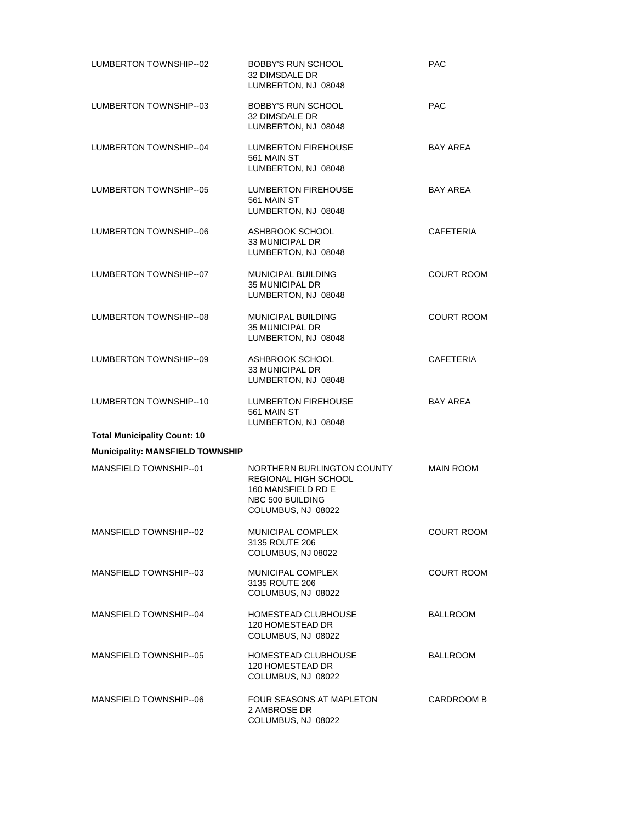| LUMBERTON TOWNSHIP-02                   | <b>BOBBY'S RUN SCHOOL</b><br>32 DIMSDALE DR<br>LUMBERTON, NJ 08048                                                 | <b>PAC</b>        |
|-----------------------------------------|--------------------------------------------------------------------------------------------------------------------|-------------------|
| LUMBERTON TOWNSHIP-03                   | BOBBY'S RUN SCHOOL<br>32 DIMSDALE DR<br>LUMBERTON, NJ 08048                                                        | <b>PAC</b>        |
| LUMBERTON TOWNSHIP-04                   | <b>LUMBERTON FIREHOUSE</b><br>561 MAIN ST<br>LUMBERTON, NJ 08048                                                   | <b>BAY AREA</b>   |
| LUMBERTON TOWNSHIP--05                  | LUMBERTON FIREHOUSE<br>561 MAIN ST<br>LUMBERTON, NJ 08048                                                          | <b>BAY AREA</b>   |
| LUMBERTON TOWNSHIP--06                  | ASHBROOK SCHOOL<br><b>33 MUNICIPAL DR</b><br>LUMBERTON, NJ 08048                                                   | <b>CAFETERIA</b>  |
| LUMBERTON TOWNSHIP--07                  | <b>MUNICIPAL BUILDING</b><br>35 MUNICIPAL DR<br>LUMBERTON, NJ 08048                                                | <b>COURT ROOM</b> |
| LUMBERTON TOWNSHIP--08                  | MUNICIPAL BUILDING<br><b>35 MUNICIPAL DR</b><br>LUMBERTON, NJ 08048                                                | <b>COURT ROOM</b> |
| LUMBERTON TOWNSHIP--09                  | ASHBROOK SCHOOL<br>33 MUNICIPAL DR<br>LUMBERTON, NJ 08048                                                          | <b>CAFETERIA</b>  |
| LUMBERTON TOWNSHIP--10                  | <b>LUMBERTON FIREHOUSE</b><br>561 MAIN ST<br>LUMBERTON, NJ 08048                                                   | <b>BAY AREA</b>   |
| <b>Total Municipality Count: 10</b>     |                                                                                                                    |                   |
| <b>Municipality: MANSFIELD TOWNSHIP</b> |                                                                                                                    |                   |
| MANSFIELD TOWNSHIP--01                  | NORTHERN BURLINGTON COUNTY<br>REGIONAL HIGH SCHOOL<br>160 MANSFIELD RD E<br>NBC 500 BUILDING<br>COLUMBUS, NJ 08022 | <b>MAIN ROOM</b>  |
| MANSFIELD TOWNSHIP--02                  | <b>MUNICIPAL COMPLEX</b><br>3135 ROUTE 206<br>COLUMBUS, NJ 08022                                                   | <b>COURT ROOM</b> |
| MANSFIELD TOWNSHIP--03                  | <b>MUNICIPAL COMPLEX</b><br>3135 ROUTE 206<br>COLUMBUS, NJ 08022                                                   | <b>COURT ROOM</b> |
| MANSFIELD TOWNSHIP--04                  | HOMESTEAD CLUBHOUSE<br>120 HOMESTEAD DR<br>COLUMBUS, NJ 08022                                                      | <b>BALLROOM</b>   |
| MANSFIELD TOWNSHIP--05                  | HOMESTEAD CLUBHOUSE<br>120 HOMESTEAD DR<br>COLUMBUS, NJ 08022                                                      | BALLROOM          |
| MANSFIELD TOWNSHIP--06                  | FOUR SEASONS AT MAPLETON<br>2 AMBROSE DR<br>COLUMBUS, NJ 08022                                                     | CARDROOM B        |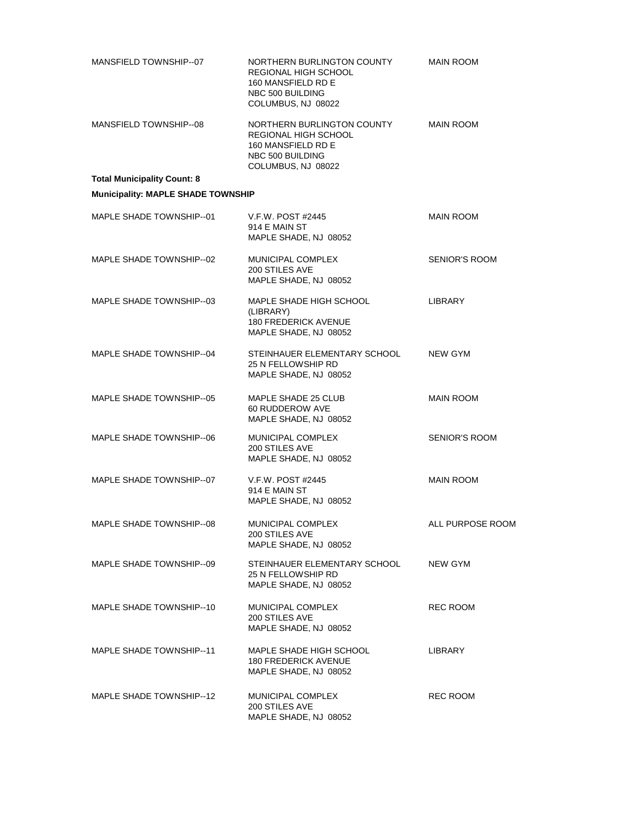| MANSFIELD TOWNSHIP-07                     | NORTHERN BURLINGTON COUNTY<br>REGIONAL HIGH SCHOOL<br>160 MANSFIELD RD E<br>NBC 500 BUILDING<br>COLUMBUS, NJ 08022 | <b>MAIN ROOM</b>     |
|-------------------------------------------|--------------------------------------------------------------------------------------------------------------------|----------------------|
| MANSFIELD TOWNSHIP--08                    | NORTHERN BURLINGTON COUNTY<br>REGIONAL HIGH SCHOOL<br>160 MANSFIELD RD E<br>NBC 500 BUILDING<br>COLUMBUS, NJ 08022 | <b>MAIN ROOM</b>     |
| <b>Total Municipality Count: 8</b>        |                                                                                                                    |                      |
| <b>Municipality: MAPLE SHADE TOWNSHIP</b> |                                                                                                                    |                      |
| MAPLE SHADE TOWNSHIP--01                  | V.F.W. POST #2445<br>914 E MAIN ST<br>MAPLE SHADE, NJ 08052                                                        | <b>MAIN ROOM</b>     |
| MAPLE SHADE TOWNSHIP--02                  | MUNICIPAL COMPLEX<br>200 STILES AVE<br>MAPLE SHADE, NJ 08052                                                       | <b>SENIOR'S ROOM</b> |
| MAPLE SHADE TOWNSHIP-03                   | MAPLE SHADE HIGH SCHOOL<br>(LIBRARY)<br><b>180 FREDERICK AVENUE</b><br>MAPLE SHADE, NJ 08052                       | <b>LIBRARY</b>       |
| MAPLE SHADE TOWNSHIP--04                  | STEINHAUER ELEMENTARY SCHOOL<br>25 N FELLOWSHIP RD<br>MAPLE SHADE, NJ 08052                                        | <b>NEW GYM</b>       |
| MAPLE SHADE TOWNSHIP--05                  | MAPLE SHADE 25 CLUB<br>60 RUDDEROW AVE<br>MAPLE SHADE, NJ 08052                                                    | <b>MAIN ROOM</b>     |
| MAPLE SHADE TOWNSHIP--06                  | MUNICIPAL COMPLEX<br>200 STILES AVE<br>MAPLE SHADE, NJ 08052                                                       | <b>SENIOR'S ROOM</b> |
| MAPLE SHADE TOWNSHIP--07                  | V.F.W. POST #2445<br>914 E MAIN ST<br>MAPLE SHADE, NJ 08052                                                        | <b>MAIN ROOM</b>     |
| MAPLE SHADE TOWNSHIP--08                  | MUNICIPAL COMPLEX<br>200 STILES AVE<br>MAPLE SHADE, NJ 08052                                                       | ALL PURPOSE ROOM     |
| MAPLE SHADE TOWNSHIP-09                   | STEINHAUER ELEMENTARY SCHOOL<br>25 N FELLOWSHIP RD<br>MAPLE SHADE, NJ 08052                                        | NEW GYM              |
| MAPLE SHADE TOWNSHIP-10                   | MUNICIPAL COMPLEX<br>200 STILES AVE<br>MAPLE SHADE, NJ 08052                                                       | REC ROOM             |
| MAPLE SHADE TOWNSHIP-11                   | MAPLE SHADE HIGH SCHOOL<br><b>180 FREDERICK AVENUE</b><br>MAPLE SHADE, NJ 08052                                    | LIBRARY              |
| MAPLE SHADE TOWNSHIP--12                  | MUNICIPAL COMPLEX<br>200 STILES AVE<br>MAPLE SHADE, NJ 08052                                                       | REC ROOM             |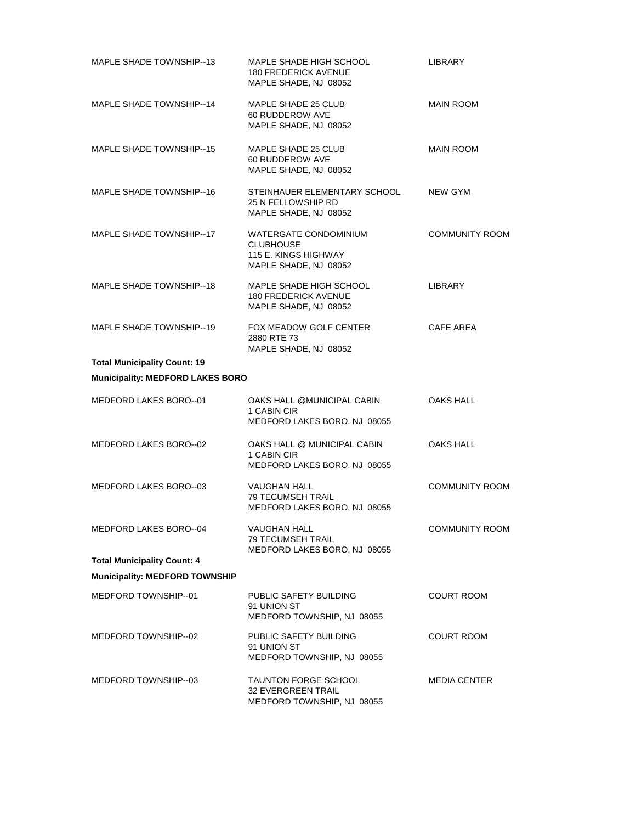| MAPLE SHADE TOWNSHIP--13                | MAPLE SHADE HIGH SCHOOL<br><b>180 FREDERICK AVENUE</b><br>MAPLE SHADE, NJ 08052            | LIBRARY               |
|-----------------------------------------|--------------------------------------------------------------------------------------------|-----------------------|
| MAPLE SHADE TOWNSHIP--14                | MAPLE SHADE 25 CLUB<br>60 RUDDEROW AVE<br>MAPLE SHADE, NJ 08052                            | <b>MAIN ROOM</b>      |
| MAPLE SHADE TOWNSHIP--15                | MAPLE SHADE 25 CLUB<br>60 RUDDEROW AVE<br>MAPLE SHADE, NJ 08052                            | <b>MAIN ROOM</b>      |
| MAPLE SHADE TOWNSHIP--16                | STEINHAUER ELEMENTARY SCHOOL<br>25 N FELLOWSHIP RD<br>MAPLE SHADE, NJ 08052                | NEW GYM               |
| MAPLE SHADE TOWNSHIP--17                | WATERGATE CONDOMINIUM<br><b>CLUBHOUSE</b><br>115 E. KINGS HIGHWAY<br>MAPLE SHADE, NJ 08052 | <b>COMMUNITY ROOM</b> |
| MAPLE SHADE TOWNSHIP--18                | MAPLE SHADE HIGH SCHOOL<br><b>180 FREDERICK AVENUE</b><br>MAPLE SHADE, NJ 08052            | <b>LIBRARY</b>        |
| MAPLE SHADE TOWNSHIP-19                 | FOX MEADOW GOLF CENTER<br>2880 RTE 73<br>MAPLE SHADE, NJ 08052                             | <b>CAFE AREA</b>      |
| <b>Total Municipality Count: 19</b>     |                                                                                            |                       |
| <b>Municipality: MEDFORD LAKES BORO</b> |                                                                                            |                       |
| MEDFORD LAKES BORO--01                  | OAKS HALL @MUNICIPAL CABIN<br>1 CABIN CIR<br>MEDFORD LAKES BORO, NJ 08055                  | OAKS HALL             |
| MEDFORD LAKES BORO--02                  | OAKS HALL @ MUNICIPAL CABIN<br>1 CABIN CIR<br>MEDFORD LAKES BORO, NJ 08055                 | OAKS HALL             |
| MEDFORD LAKES BORO--03                  | <b>VAUGHAN HALL</b><br><b>79 TECUMSEH TRAIL</b><br>MEDFORD LAKES BORO, NJ 08055            | <b>COMMUNITY ROOM</b> |
| MEDFORD LAKES BORO--04                  | <b>VAUGHAN HALL</b><br><b>79 TECUMSEH TRAIL</b><br>MEDFORD LAKES BORO, NJ 08055            | <b>COMMUNITY ROOM</b> |
| <b>Total Municipality Count: 4</b>      |                                                                                            |                       |
| <b>Municipality: MEDFORD TOWNSHIP</b>   |                                                                                            |                       |
| MEDFORD TOWNSHIP-01                     | PUBLIC SAFETY BUILDING<br>91 UNION ST<br>MEDFORD TOWNSHIP, NJ 08055                        | <b>COURT ROOM</b>     |
| MEDFORD TOWNSHIP--02                    | PUBLIC SAFETY BUILDING<br>91 UNION ST<br>MEDFORD TOWNSHIP, NJ 08055                        | <b>COURT ROOM</b>     |
| MEDFORD TOWNSHIP--03                    | <b>TAUNTON FORGE SCHOOL</b><br><b>32 EVERGREEN TRAIL</b><br>MEDFORD TOWNSHIP, NJ 08055     | <b>MEDIA CENTER</b>   |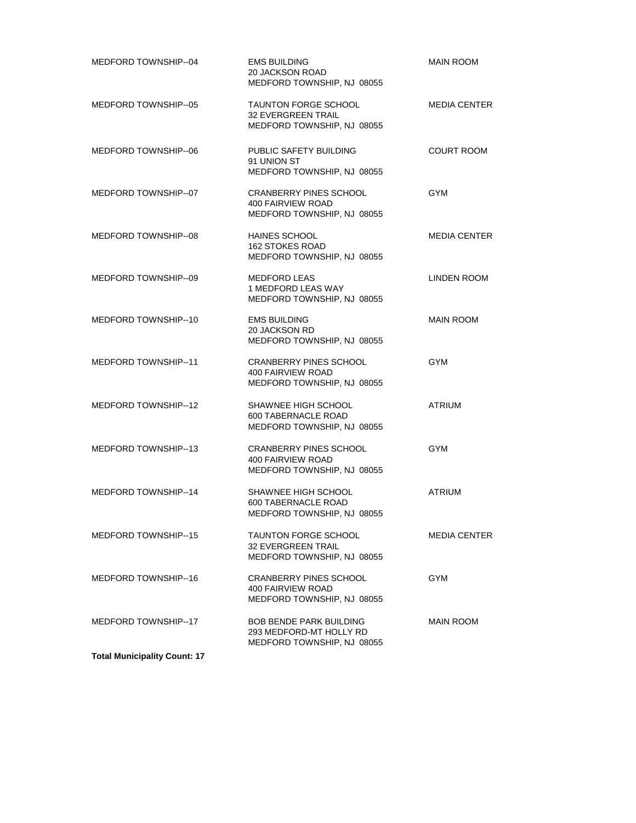| MEDFORD TOWNSHIP--04                | <b>EMS BUILDING</b><br>20 JACKSON ROAD<br>MEDFORD TOWNSHIP, NJ 08055                    | <b>MAIN ROOM</b>    |
|-------------------------------------|-----------------------------------------------------------------------------------------|---------------------|
| MEDFORD TOWNSHIP--05                | <b>TAUNTON FORGE SCHOOL</b><br><b>32 EVERGREEN TRAIL</b><br>MEDFORD TOWNSHIP, NJ 08055  | <b>MEDIA CENTER</b> |
| MEDFORD TOWNSHIP--06                | PUBLIC SAFETY BUILDING<br>91 UNION ST<br>MEDFORD TOWNSHIP, NJ 08055                     | <b>COURT ROOM</b>   |
| MEDFORD TOWNSHIP--07                | <b>CRANBERRY PINES SCHOOL</b><br>400 FAIRVIEW ROAD<br>MEDFORD TOWNSHIP, NJ 08055        | <b>GYM</b>          |
| MEDFORD TOWNSHIP--08                | <b>HAINES SCHOOL</b><br>162 STOKES ROAD<br>MEDFORD TOWNSHIP, NJ 08055                   | <b>MEDIA CENTER</b> |
| MEDFORD TOWNSHIP--09                | <b>MEDFORD LEAS</b><br>1 MEDFORD LEAS WAY<br>MEDFORD TOWNSHIP, NJ 08055                 | LINDEN ROOM         |
| MEDFORD TOWNSHIP--10                | <b>EMS BUILDING</b><br>20 JACKSON RD<br>MEDFORD TOWNSHIP, NJ 08055                      | <b>MAIN ROOM</b>    |
| MEDFORD TOWNSHIP--11                | <b>CRANBERRY PINES SCHOOL</b><br>400 FAIRVIEW ROAD<br>MEDFORD TOWNSHIP, NJ 08055        | <b>GYM</b>          |
| MEDFORD TOWNSHIP--12                | SHAWNEE HIGH SCHOOL<br>600 TABERNACLE ROAD<br>MEDFORD TOWNSHIP, NJ 08055                | <b>ATRIUM</b>       |
| MEDFORD TOWNSHIP--13                | <b>CRANBERRY PINES SCHOOL</b><br>400 FAIRVIEW ROAD<br>MEDFORD TOWNSHIP, NJ 08055        | <b>GYM</b>          |
| MEDFORD TOWNSHIP--14                | SHAWNEE HIGH SCHOOL<br>600 TABERNACLE ROAD<br>MEDFORD TOWNSHIP, NJ 08055                | <b>ATRIUM</b>       |
| MEDFORD TOWNSHIP--15                | <b>TAUNTON FORGE SCHOOL</b><br><b>32 EVERGREEN TRAIL</b><br>MEDFORD TOWNSHIP, NJ 08055  | <b>MEDIA CENTER</b> |
| MEDFORD TOWNSHIP--16                | <b>CRANBERRY PINES SCHOOL</b><br>400 FAIRVIEW ROAD<br>MEDFORD TOWNSHIP, NJ 08055        | <b>GYM</b>          |
| MEDFORD TOWNSHIP--17                | <b>BOB BENDE PARK BUILDING</b><br>293 MEDFORD-MT HOLLY RD<br>MEDFORD TOWNSHIP, NJ 08055 | MAIN ROOM           |
| <b>Total Municipality Count: 17</b> |                                                                                         |                     |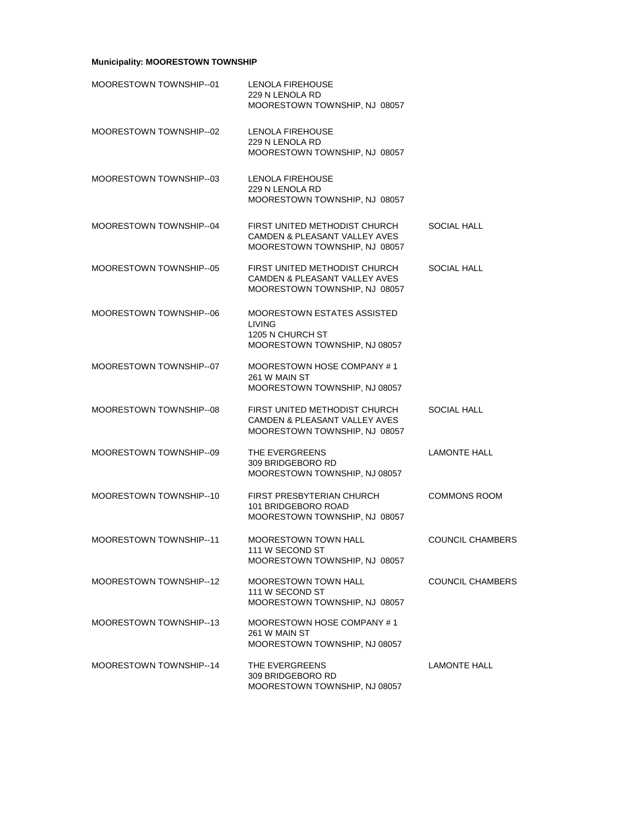# **Municipality: MOORESTOWN TOWNSHIP**

| MOORESTOWN TOWNSHIP--01 | LENOLA FIREHOUSE<br>229 N LENOLA RD<br>MOORESTOWN TOWNSHIP, NJ 08057                                       |                         |
|-------------------------|------------------------------------------------------------------------------------------------------------|-------------------------|
| MOORESTOWN TOWNSHIP-02  | <b>LENOLA FIREHOUSE</b><br>229 N LENOLA RD<br>MOORESTOWN TOWNSHIP, NJ 08057                                |                         |
| MOORESTOWN TOWNSHIP-03  | LENOLA FIREHOUSE<br>229 N LENOLA RD<br>MOORESTOWN TOWNSHIP, NJ 08057                                       |                         |
| MOORESTOWN TOWNSHIP--04 | FIRST UNITED METHODIST CHURCH<br>CAMDEN & PLEASANT VALLEY AVES<br>MOORESTOWN TOWNSHIP, NJ 08057            | <b>SOCIAL HALL</b>      |
| MOORESTOWN TOWNSHIP--05 | FIRST UNITED METHODIST CHURCH<br><b>CAMDEN &amp; PLEASANT VALLEY AVES</b><br>MOORESTOWN TOWNSHIP, NJ 08057 | <b>SOCIAL HALL</b>      |
| MOORESTOWN TOWNSHIP--06 | MOORESTOWN ESTATES ASSISTED<br><b>LIVING</b><br>1205 N CHURCH ST<br>MOORESTOWN TOWNSHIP, NJ 08057          |                         |
| MOORESTOWN TOWNSHIP-07  | MOORESTOWN HOSE COMPANY #1<br>261 W MAIN ST<br>MOORESTOWN TOWNSHIP, NJ 08057                               |                         |
| MOORESTOWN TOWNSHIP--08 | FIRST UNITED METHODIST CHURCH<br>CAMDEN & PLEASANT VALLEY AVES<br>MOORESTOWN TOWNSHIP, NJ 08057            | SOCIAL HALL             |
| MOORESTOWN TOWNSHIP--09 | THE EVERGREENS<br>309 BRIDGEBORO RD<br>MOORESTOWN TOWNSHIP, NJ 08057                                       | <b>LAMONTE HALL</b>     |
| MOORESTOWN TOWNSHIP-10  | FIRST PRESBYTERIAN CHURCH<br>101 BRIDGEBORO ROAD<br>MOORESTOWN TOWNSHIP, NJ 08057                          | <b>COMMONS ROOM</b>     |
| MOORESTOWN TOWNSHIP--11 | MOORESTOWN TOWN HALL<br>111 W SECOND ST<br>MOORESTOWN TOWNSHIP, NJ 08057                                   | <b>COUNCIL CHAMBERS</b> |
| MOORESTOWN TOWNSHIP--12 | <b>MOORESTOWN TOWN HALL</b><br>111 W SECOND ST<br>MOORESTOWN TOWNSHIP, NJ 08057                            | COUNCIL CHAMBERS        |
| MOORESTOWN TOWNSHIP--13 | MOORESTOWN HOSE COMPANY #1<br>261 W MAIN ST<br>MOORESTOWN TOWNSHIP, NJ 08057                               |                         |
| MOORESTOWN TOWNSHIP-14  | THE EVERGREENS<br>309 BRIDGEBORO RD<br>MOORESTOWN TOWNSHIP, NJ 08057                                       | <b>LAMONTE HALL</b>     |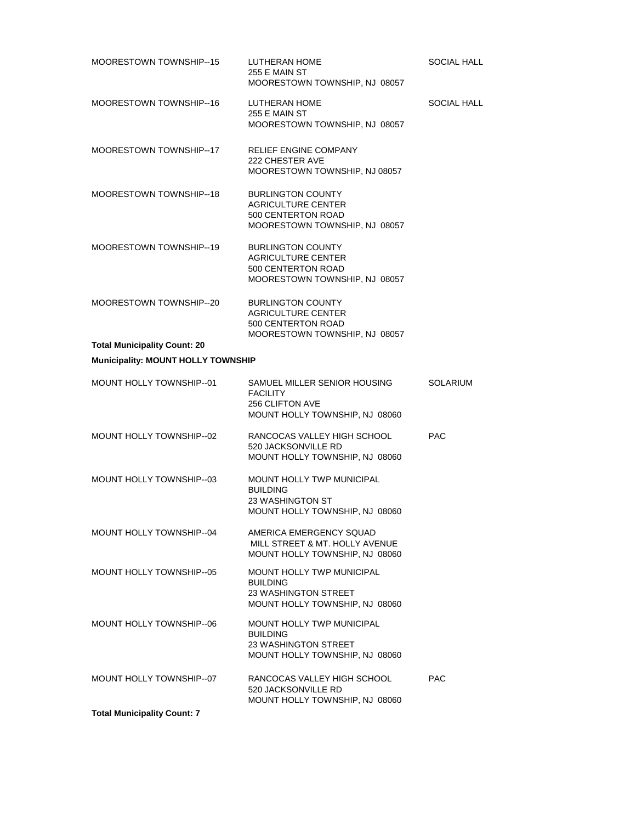| MOORESTOWN TOWNSHIP--15                   | LUTHERAN HOME<br>255 E MAIN ST<br>MOORESTOWN TOWNSHIP, NJ 08057                                                      | SOCIAL HALL     |
|-------------------------------------------|----------------------------------------------------------------------------------------------------------------------|-----------------|
| MOORESTOWN TOWNSHIP--16                   | LUTHERAN HOME<br>255 E MAIN ST<br>MOORESTOWN TOWNSHIP, NJ 08057                                                      | SOCIAL HALL     |
| MOORESTOWN TOWNSHIP-17                    | RELIEF ENGINE COMPANY<br>222 CHESTER AVE<br>MOORESTOWN TOWNSHIP, NJ 08057                                            |                 |
| MOORESTOWN TOWNSHIP-18                    | <b>BURLINGTON COUNTY</b><br><b>AGRICULTURE CENTER</b><br>500 CENTERTON ROAD<br>MOORESTOWN TOWNSHIP, NJ 08057         |                 |
| MOORESTOWN TOWNSHIP--19                   | <b>BURLINGTON COUNTY</b><br><b>AGRICULTURE CENTER</b><br>500 CENTERTON ROAD<br>MOORESTOWN TOWNSHIP, NJ 08057         |                 |
| MOORESTOWN TOWNSHIP-20                    | <b>BURLINGTON COUNTY</b><br><b>AGRICULTURE CENTER</b><br>500 CENTERTON ROAD<br>MOORESTOWN TOWNSHIP, NJ 08057         |                 |
| <b>Total Municipality Count: 20</b>       |                                                                                                                      |                 |
| <b>Municipality: MOUNT HOLLY TOWNSHIP</b> |                                                                                                                      |                 |
| MOUNT HOLLY TOWNSHIP--01                  | SAMUEL MILLER SENIOR HOUSING<br><b>FACILITY</b><br><b>256 CLIFTON AVE</b><br>MOUNT HOLLY TOWNSHIP, NJ 08060          | <b>SOLARIUM</b> |
| MOUNT HOLLY TOWNSHIP--02                  | RANCOCAS VALLEY HIGH SCHOOL<br>520 JACKSONVILLE RD<br>MOUNT HOLLY TOWNSHIP, NJ 08060                                 | <b>PAC</b>      |
| MOUNT HOLLY TOWNSHIP--03                  | <b>MOUNT HOLLY TWP MUNICIPAL</b><br><b>BUILDING</b><br>23 WASHINGTON ST<br>MOUNT HOLLY TOWNSHIP, NJ 08060            |                 |
| MOUNT HOLLY TOWNSHIP--04                  | AMERICA EMERGENCY SQUAD<br>MILL STREET & MT. HOLLY AVENUE<br>MOUNT HOLLY TOWNSHIP, NJ 08060                          |                 |
| MOUNT HOLLY TOWNSHIP-05                   | <b>MOUNT HOLLY TWP MUNICIPAL</b><br><b>BUILDING</b><br><b>23 WASHINGTON STREET</b><br>MOUNT HOLLY TOWNSHIP, NJ 08060 |                 |
| MOUNT HOLLY TOWNSHIP-06                   | <b>MOUNT HOLLY TWP MUNICIPAL</b><br><b>BUILDING</b><br>23 WASHINGTON STREET<br>MOUNT HOLLY TOWNSHIP, NJ 08060        |                 |
| MOUNT HOLLY TOWNSHIP-07                   | RANCOCAS VALLEY HIGH SCHOOL<br>520 JACKSONVILLE RD<br>MOUNT HOLLY TOWNSHIP, NJ 08060                                 | <b>PAC</b>      |
| <b>Total Municipality Count: 7</b>        |                                                                                                                      |                 |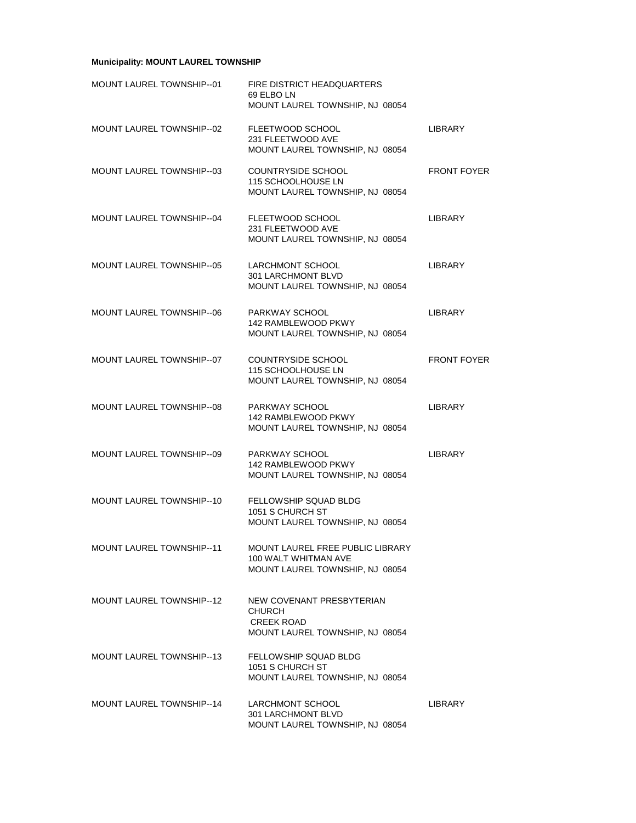# **Municipality: MOUNT LAUREL TOWNSHIP**

| MOUNT LAUREL TOWNSHIP--01       | <b>FIRE DISTRICT HEADQUARTERS</b><br>69 ELBO LN<br>MOUNT LAUREL TOWNSHIP, NJ 08054                 |                    |
|---------------------------------|----------------------------------------------------------------------------------------------------|--------------------|
| MOUNT LAUREL TOWNSHIP-02        | FLEETWOOD SCHOOL<br>231 FLEETWOOD AVE<br>MOUNT LAUREL TOWNSHIP, NJ 08054                           | <b>LIBRARY</b>     |
| MOUNT LAUREL TOWNSHIP--03       | <b>COUNTRYSIDE SCHOOL</b><br>115 SCHOOLHOUSE LN<br>MOUNT LAUREL TOWNSHIP, NJ 08054                 | <b>FRONT FOYER</b> |
| MOUNT LAUREL TOWNSHIP--04       | FLEETWOOD SCHOOL<br>231 FLEETWOOD AVE<br>MOUNT LAUREL TOWNSHIP, NJ 08054                           | LIBRARY            |
| MOUNT LAUREL TOWNSHIP--05       | <b>LARCHMONT SCHOOL</b><br>301 LARCHMONT BLVD<br>MOUNT LAUREL TOWNSHIP, NJ 08054                   | <b>LIBRARY</b>     |
| MOUNT LAUREL TOWNSHIP--06       | PARKWAY SCHOOL<br>142 RAMBLEWOOD PKWY<br>MOUNT LAUREL TOWNSHIP, NJ 08054                           | <b>LIBRARY</b>     |
| MOUNT LAUREL TOWNSHIP--07       | <b>COUNTRYSIDE SCHOOL</b><br>115 SCHOOLHOUSE LN<br>MOUNT LAUREL TOWNSHIP, NJ 08054                 | <b>FRONT FOYER</b> |
| MOUNT LAUREL TOWNSHIP--08       | PARKWAY SCHOOL<br>142 RAMBLEWOOD PKWY<br>MOUNT LAUREL TOWNSHIP, NJ 08054                           | LIBRARY            |
| MOUNT LAUREL TOWNSHIP--09       | PARKWAY SCHOOL<br>142 RAMBLEWOOD PKWY<br>MOUNT LAUREL TOWNSHIP, NJ 08054                           | <b>LIBRARY</b>     |
| MOUNT LAUREL TOWNSHIP--10       | <b>FELLOWSHIP SQUAD BLDG</b><br>1051 S CHURCH ST<br>MOUNT LAUREL TOWNSHIP, NJ 08054                |                    |
| MOUNT LAUREL TOWNSHIP--11       | MOUNT LAUREL FREE PUBLIC LIBRARY<br>100 WALT WHITMAN AVE<br>MOUNT LAUREL TOWNSHIP, NJ 08054        |                    |
| MOUNT LAUREL TOWNSHIP--12       | NEW COVENANT PRESBYTERIAN<br><b>CHURCH</b><br><b>CREEK ROAD</b><br>MOUNT LAUREL TOWNSHIP, NJ 08054 |                    |
| <b>MOUNT LAUREL TOWNSHIP-13</b> | FELLOWSHIP SQUAD BLDG<br>1051 S CHURCH ST<br>MOUNT LAUREL TOWNSHIP, NJ 08054                       |                    |
| MOUNT LAUREL TOWNSHIP--14       | <b>LARCHMONT SCHOOL</b><br>301 LARCHMONT BLVD<br>MOUNT LAUREL TOWNSHIP, NJ 08054                   | LIBRARY            |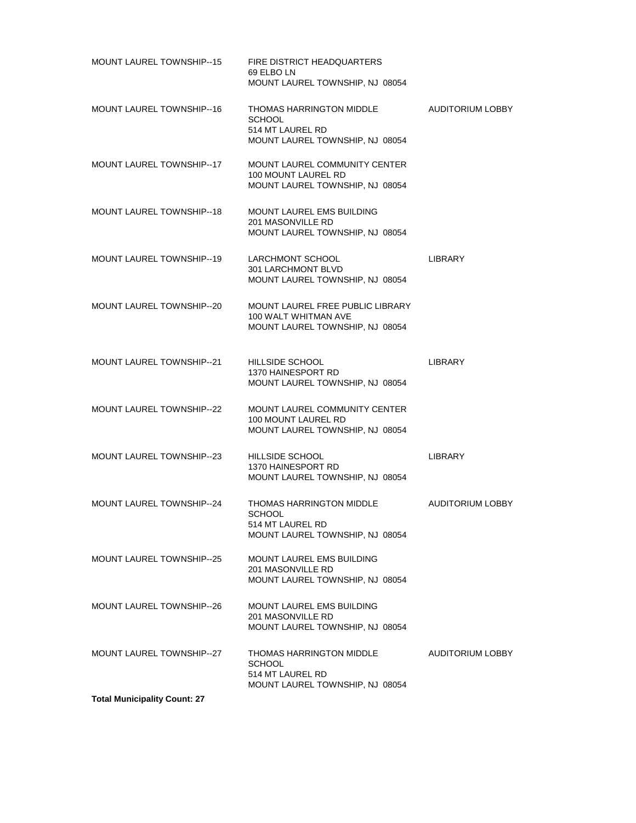| <b>MOUNT LAUREL TOWNSHIP--15</b>    | <b>FIRE DISTRICT HEADQUARTERS</b><br>69 ELBO LN<br>MOUNT LAUREL TOWNSHIP, NJ 08054                 |                         |
|-------------------------------------|----------------------------------------------------------------------------------------------------|-------------------------|
| <b>MOUNT LAUREL TOWNSHIP--16</b>    | THOMAS HARRINGTON MIDDLE<br><b>SCHOOL</b><br>514 MT LAUREL RD<br>MOUNT LAUREL TOWNSHIP, NJ 08054   | <b>AUDITORIUM LOBBY</b> |
| MOUNT LAUREL TOWNSHIP--17           | <b>MOUNT LAUREL COMMUNITY CENTER</b><br>100 MOUNT LAUREL RD<br>MOUNT LAUREL TOWNSHIP, NJ 08054     |                         |
| <b>MOUNT LAUREL TOWNSHIP--18</b>    | MOUNT LAUREL EMS BUILDING<br>201 MASONVILLE RD<br>MOUNT LAUREL TOWNSHIP, NJ 08054                  |                         |
| MOUNT LAUREL TOWNSHIP--19           | LARCHMONT SCHOOL<br><b>301 LARCHMONT BLVD</b><br>MOUNT LAUREL TOWNSHIP, NJ 08054                   | LIBRARY                 |
| <b>MOUNT LAUREL TOWNSHIP--20</b>    | <b>MOUNT LAUREL FREE PUBLIC LIBRARY</b><br>100 WALT WHITMAN AVE<br>MOUNT LAUREL TOWNSHIP, NJ 08054 |                         |
| <b>MOUNT LAUREL TOWNSHIP-21</b>     | HILLSIDE SCHOOL<br>1370 HAINESPORT RD<br>MOUNT LAUREL TOWNSHIP, NJ 08054                           | <b>LIBRARY</b>          |
| <b>MOUNT LAUREL TOWNSHIP--22</b>    | <b>MOUNT LAUREL COMMUNITY CENTER</b><br>100 MOUNT LAUREL RD<br>MOUNT LAUREL TOWNSHIP, NJ 08054     |                         |
| <b>MOUNT LAUREL TOWNSHIP-23</b>     | HILLSIDE SCHOOL<br>1370 HAINESPORT RD<br>MOUNT LAUREL TOWNSHIP, NJ 08054                           | <b>LIBRARY</b>          |
| MOUNT LAUREL TOWNSHIP--24           | THOMAS HARRINGTON MIDDLE<br><b>SCHOOL</b><br>514 MT LAUREL RD<br>MOUNT LAUREL TOWNSHIP, NJ 08054   | AUDITORIUM LOBBY        |
| <b>MOUNT LAUREL TOWNSHIP--25</b>    | <b>MOUNT LAUREL EMS BUILDING</b><br>201 MASONVILLE RD<br>MOUNT LAUREL TOWNSHIP, NJ 08054           |                         |
| <b>MOUNT LAUREL TOWNSHIP--26</b>    | <b>MOUNT LAUREL EMS BUILDING</b><br>201 MASONVILLE RD<br>MOUNT LAUREL TOWNSHIP, NJ 08054           |                         |
| MOUNT LAUREL TOWNSHIP--27           | THOMAS HARRINGTON MIDDLE<br><b>SCHOOL</b><br>514 MT LAUREL RD<br>MOUNT LAUREL TOWNSHIP, NJ 08054   | <b>AUDITORIUM LOBBY</b> |
| <b>Total Municipality Count: 27</b> |                                                                                                    |                         |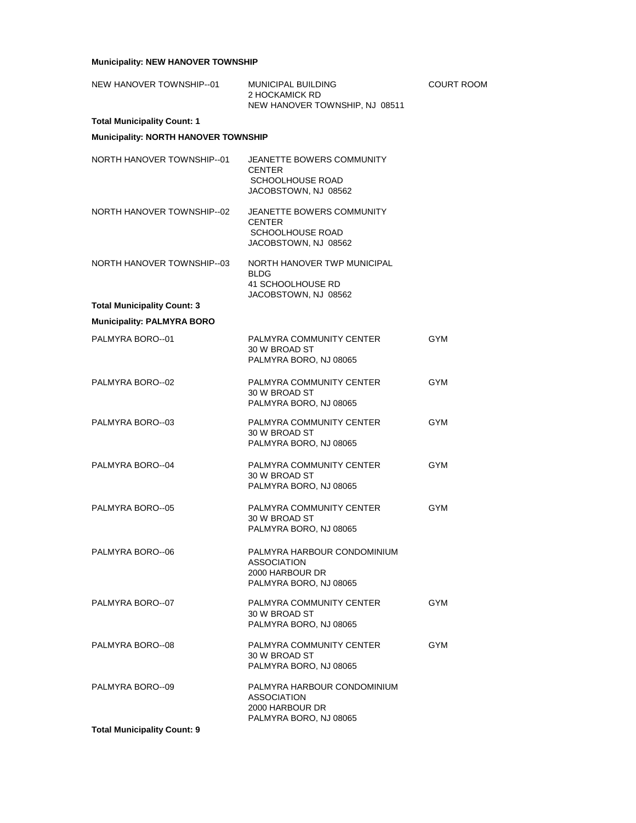# **Municipality: NEW HANOVER TOWNSHIP**

| NEW HANOVER TOWNSHIP--01                                                | <b>MUNICIPAL BUILDING</b><br>2 HOCKAMICK RD<br>NEW HANOVER TOWNSHIP, NJ 08511                  | COURT ROOM |
|-------------------------------------------------------------------------|------------------------------------------------------------------------------------------------|------------|
| <b>Total Municipality Count: 1</b>                                      |                                                                                                |            |
| Municipality: NORTH HANOVER TOWNSHIP                                    |                                                                                                |            |
| NORTH HANOVER TOWNSHIP-01                                               | JEANETTE BOWERS COMMUNITY<br><b>CENTER</b><br>SCHOOLHOUSE ROAD<br>JACOBSTOWN, NJ 08562         |            |
| NORTH HANOVER TOWNSHIP--02                                              | JEANETTE BOWERS COMMUNITY<br><b>CENTER</b><br>SCHOOLHOUSE ROAD<br>JACOBSTOWN, NJ 08562         |            |
| NORTH HANOVER TOWNSHIP-03                                               | NORTH HANOVER TWP MUNICIPAL<br><b>BLDG</b><br>41 SCHOOLHOUSE RD<br>JACOBSTOWN, NJ 08562        |            |
| <b>Total Municipality Count: 3</b><br><b>Municipality: PALMYRA BORO</b> |                                                                                                |            |
| PALMYRA BORO--01                                                        | PALMYRA COMMUNITY CENTER<br>30 W BROAD ST<br>PALMYRA BORO, NJ 08065                            | <b>GYM</b> |
| PALMYRA BORO--02                                                        | PALMYRA COMMUNITY CENTER<br>30 W BROAD ST<br>PALMYRA BORO, NJ 08065                            | GYM        |
| PALMYRA BORO--03                                                        | PALMYRA COMMUNITY CENTER<br>30 W BROAD ST<br>PALMYRA BORO, NJ 08065                            | <b>GYM</b> |
| PALMYRA BORO-04                                                         | PALMYRA COMMUNITY CENTER<br>30 W BROAD ST<br>PALMYRA BORO, NJ 08065                            | <b>GYM</b> |
| PALMYRA BORO--05                                                        | PALMYRA COMMUNITY CENTER<br>30 W BROAD ST<br>PALMYRA BORO, NJ 08065                            | <b>GYM</b> |
| PALMYRA BORO--06                                                        | PALMYRA HARBOUR CONDOMINIUM<br><b>ASSOCIATION</b><br>2000 HARBOUR DR<br>PALMYRA BORO, NJ 08065 |            |
| PALMYRA BORO--07                                                        | PALMYRA COMMUNITY CENTER<br>30 W BROAD ST<br>PALMYRA BORO, NJ 08065                            | <b>GYM</b> |
| PALMYRA BORO-08                                                         | PALMYRA COMMUNITY CENTER<br>30 W BROAD ST<br>PALMYRA BORO, NJ 08065                            | GYM        |
| PALMYRA BORO-09                                                         | PALMYRA HARBOUR CONDOMINIUM<br><b>ASSOCIATION</b><br>2000 HARBOUR DR<br>PALMYRA BORO, NJ 08065 |            |
| <b>Total Municipality Count: 9</b>                                      |                                                                                                |            |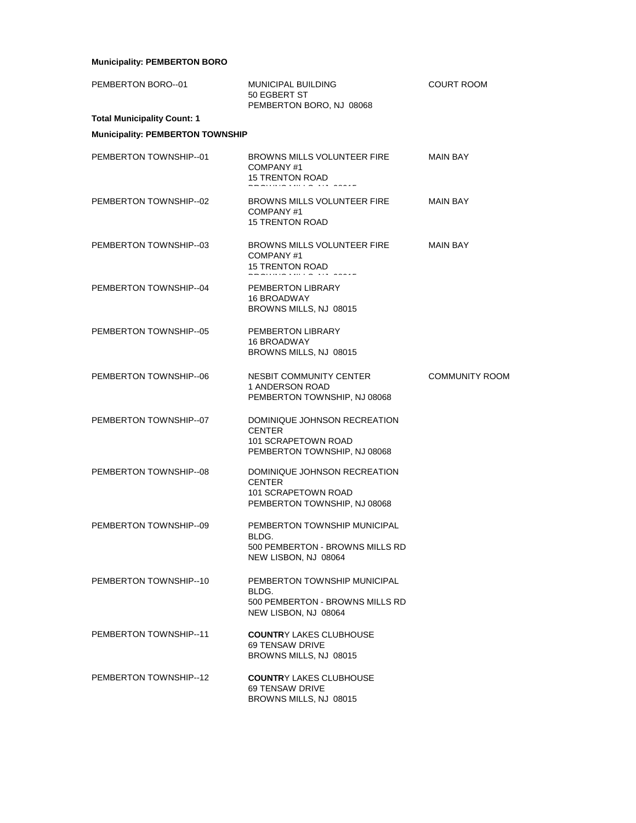# **Municipality: PEMBERTON BORO**

| PEMBERTON BORO-01                       | MUNICIPAL BUILDING<br>50 EGBERT ST<br>PEMBERTON BORO, NJ 08068                                       | <b>COURT ROOM</b>     |
|-----------------------------------------|------------------------------------------------------------------------------------------------------|-----------------------|
| <b>Total Municipality Count: 1</b>      |                                                                                                      |                       |
| <b>Municipality: PEMBERTON TOWNSHIP</b> |                                                                                                      |                       |
| PEMBERTON TOWNSHIP--01                  | BROWNS MILLS VOLUNTEER FIRE<br>COMPANY#1<br><b>15 TRENTON ROAD</b>                                   | MAIN BAY              |
| PEMBERTON TOWNSHIP-02                   | BROWNS MILLS VOLUNTEER FIRE<br>COMPANY#1<br>15 TRENTON ROAD                                          | <b>MAIN BAY</b>       |
| PEMBERTON TOWNSHIP-03                   | BROWNS MILLS VOLUNTEER FIRE<br>COMPANY#1<br><b>15 TRENTON ROAD</b>                                   | <b>MAIN BAY</b>       |
| PEMBERTON TOWNSHIP-04                   | PEMBERTON LIBRARY<br>16 BROADWAY<br>BROWNS MILLS, NJ 08015                                           |                       |
| PEMBERTON TOWNSHIP-05                   | PEMBERTON LIBRARY<br><b>16 BROADWAY</b><br>BROWNS MILLS, NJ 08015                                    |                       |
| PEMBERTON TOWNSHIP-06                   | NESBIT COMMUNITY CENTER<br>1 ANDERSON ROAD<br>PEMBERTON TOWNSHIP, NJ 08068                           | <b>COMMUNITY ROOM</b> |
| PEMBERTON TOWNSHIP-07                   | DOMINIQUE JOHNSON RECREATION<br><b>CENTER</b><br>101 SCRAPETOWN ROAD<br>PEMBERTON TOWNSHIP, NJ 08068 |                       |
| PEMBERTON TOWNSHIP-08                   | DOMINIQUE JOHNSON RECREATION<br><b>CENTER</b><br>101 SCRAPETOWN ROAD<br>PEMBERTON TOWNSHIP, NJ 08068 |                       |
| PEMBERTON TOWNSHIP--09                  | PEMBERTON TOWNSHIP MUNICIPAL<br>BLDG.<br>500 PEMBERTON - BROWNS MILLS RD<br>NEW LISBON, NJ 08064     |                       |
| PEMBERTON TOWNSHIP--10                  | PEMBERTON TOWNSHIP MUNICIPAL<br>BLDG.<br>500 PEMBERTON - BROWNS MILLS RD<br>NEW LISBON, NJ 08064     |                       |
| PEMBERTON TOWNSHIP-11                   | <b>COUNTRY LAKES CLUBHOUSE</b><br>69 TENSAW DRIVE<br>BROWNS MILLS, NJ 08015                          |                       |
| PEMBERTON TOWNSHIP--12                  | <b>COUNTRY LAKES CLUBHOUSE</b><br>69 TENSAW DRIVE<br>BROWNS MILLS, NJ 08015                          |                       |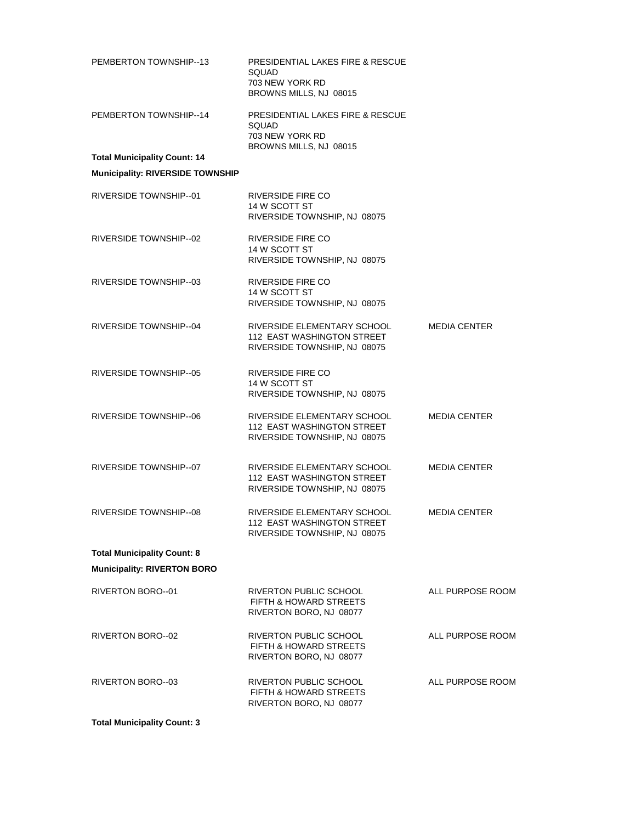| PEMBERTON TOWNSHIP-13                   | <b>PRESIDENTIAL LAKES FIRE &amp; RESCUE</b><br>SQUAD<br>703 NEW YORK RD<br>BROWNS MILLS, NJ 08015 |                     |
|-----------------------------------------|---------------------------------------------------------------------------------------------------|---------------------|
| PEMBERTON TOWNSHIP--14                  | <b>PRESIDENTIAL LAKES FIRE &amp; RESCUE</b><br>SQUAD<br>703 NEW YORK RD<br>BROWNS MILLS, NJ 08015 |                     |
| <b>Total Municipality Count: 14</b>     |                                                                                                   |                     |
| <b>Municipality: RIVERSIDE TOWNSHIP</b> |                                                                                                   |                     |
| RIVERSIDE TOWNSHIP-01                   | <b>RIVERSIDE FIRE CO</b><br>14 W SCOTT ST<br>RIVERSIDE TOWNSHIP, NJ 08075                         |                     |
| RIVERSIDE TOWNSHIP--02                  | RIVERSIDE FIRE CO<br>14 W SCOTT ST<br>RIVERSIDE TOWNSHIP, NJ 08075                                |                     |
| RIVERSIDE TOWNSHIP-03                   | RIVERSIDE FIRE CO<br>14 W SCOTT ST<br>RIVERSIDE TOWNSHIP, NJ 08075                                |                     |
| RIVERSIDE TOWNSHIP--04                  | RIVERSIDE ELEMENTARY SCHOOL<br><b>112 EAST WASHINGTON STREET</b><br>RIVERSIDE TOWNSHIP, NJ 08075  | <b>MEDIA CENTER</b> |
| RIVERSIDE TOWNSHIP--05                  | RIVERSIDE FIRE CO<br>14 W SCOTT ST<br>RIVERSIDE TOWNSHIP, NJ 08075                                |                     |
| RIVERSIDE TOWNSHIP-06                   | RIVERSIDE ELEMENTARY SCHOOL<br>112 EAST WASHINGTON STREET<br>RIVERSIDE TOWNSHIP, NJ 08075         | <b>MEDIA CENTER</b> |
| RIVERSIDE TOWNSHIP-07                   | RIVERSIDE ELEMENTARY SCHOOL<br>112 EAST WASHINGTON STREET<br>RIVERSIDE TOWNSHIP, NJ 08075         | <b>MEDIA CENTER</b> |
| RIVERSIDE TOWNSHIP-08                   | RIVERSIDE ELEMENTARY SCHOOL<br>112 EAST WASHINGTON STREET<br>RIVERSIDE TOWNSHIP, NJ 08075         | <b>MEDIA CENTER</b> |
| <b>Total Municipality Count: 8</b>      |                                                                                                   |                     |
| <b>Municipality: RIVERTON BORO</b>      |                                                                                                   |                     |
| RIVERTON BORO--01                       | RIVERTON PUBLIC SCHOOL<br>FIFTH & HOWARD STREETS<br>RIVERTON BORO, NJ 08077                       | ALL PURPOSE ROOM    |
| RIVERTON BORO-02                        | <b>RIVERTON PUBLIC SCHOOL</b><br><b>FIFTH &amp; HOWARD STREETS</b><br>RIVERTON BORO, NJ 08077     | ALL PURPOSE ROOM    |
| RIVERTON BORO--03                       | RIVERTON PUBLIC SCHOOL<br>FIFTH & HOWARD STREETS<br>RIVERTON BORO, NJ 08077                       | ALL PURPOSE ROOM    |

**Total Municipality Count: 3**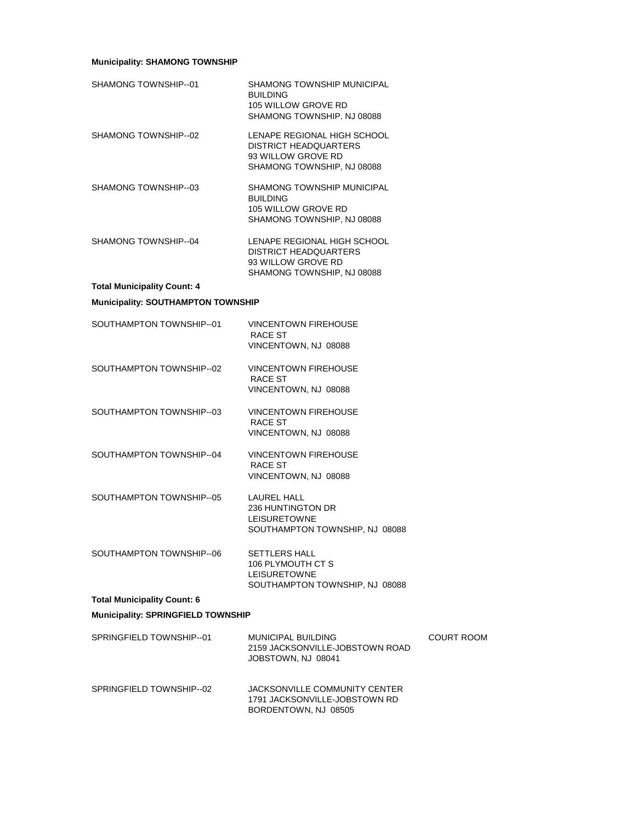# **Municipality: SHAMONG TOWNSHIP**

| SHAMONG TOWNSHIP--01                      | SHAMONG TOWNSHIP MUNICIPAL<br><b>BUILDING</b><br>105 WILLOW GROVE RD<br>SHAMONG TOWNSHIP, NJ 08088              |            |
|-------------------------------------------|-----------------------------------------------------------------------------------------------------------------|------------|
| SHAMONG TOWNSHIP--02                      | LENAPE REGIONAL HIGH SCHOOL<br><b>DISTRICT HEADQUARTERS</b><br>93 WILLOW GROVE RD<br>SHAMONG TOWNSHIP, NJ 08088 |            |
| SHAMONG TOWNSHIP--03                      | SHAMONG TOWNSHIP MUNICIPAL<br><b>BUILDING</b><br>105 WILLOW GROVE RD<br>SHAMONG TOWNSHIP, NJ 08088              |            |
| SHAMONG TOWNSHIP--04                      | LENAPE REGIONAL HIGH SCHOOL<br><b>DISTRICT HEADQUARTERS</b><br>93 WILLOW GROVE RD<br>SHAMONG TOWNSHIP, NJ 08088 |            |
| <b>Total Municipality Count: 4</b>        |                                                                                                                 |            |
| <b>Municipality: SOUTHAMPTON TOWNSHIP</b> |                                                                                                                 |            |
| SOUTHAMPTON TOWNSHIP-01                   | <b>VINCENTOWN FIREHOUSE</b><br>RACE ST<br>VINCENTOWN, NJ 08088                                                  |            |
| SOUTHAMPTON TOWNSHIP-02                   | <b>VINCENTOWN FIREHOUSE</b><br>RACE ST<br>VINCENTOWN, NJ 08088                                                  |            |
| SOUTHAMPTON TOWNSHIP-03                   | <b>VINCENTOWN FIREHOUSE</b><br>RACE ST<br>VINCENTOWN, NJ 08088                                                  |            |
| SOUTHAMPTON TOWNSHIP-04                   | <b>VINCENTOWN FIREHOUSE</b><br>RACE ST<br>VINCENTOWN, NJ 08088                                                  |            |
| SOUTHAMPTON TOWNSHIP--05                  | <b>LAUREL HALL</b><br>236 HUNTINGTON DR<br><b>LEISURETOWNE</b><br>SOUTHAMPTON TOWNSHIP, NJ 08088                |            |
| SOUTHAMPTON TOWNSHIP-06                   | <b>SETTLERS HALL</b><br>106 PLYMOUTH CT S<br><b>LEISURETOWNE</b><br>SOUTHAMPTON TOWNSHIP, NJ 08088              |            |
| <b>Total Municipality Count: 6</b>        |                                                                                                                 |            |
| <b>Municipality: SPRINGFIELD TOWNSHIP</b> |                                                                                                                 |            |
| SPRINGFIELD TOWNSHIP-01                   | <b>MUNICIPAL BUILDING</b><br>2159 JACKSONVILLE-JOBSTOWN ROAD<br>JOBSTOWN, NJ 08041                              | COURT ROOM |
| SPRINGFIELD TOWNSHIP--02                  | JACKSONVILLE COMMUNITY CENTER<br>1791 JACKSONVILLE-JOBSTOWN RD<br>BORDENTOWN, NJ 08505                          |            |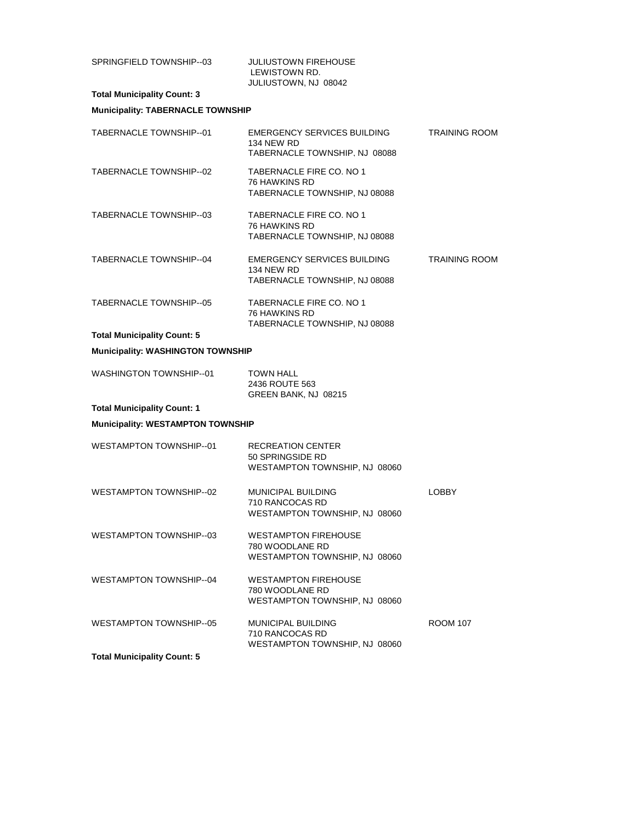| SPRINGFIELD TOWNSHIP--03                 | JULIUSTOWN FIREHOUSE<br>LEWISTOWN RD.<br>JULIUSTOWN, NJ 08042                            |                      |
|------------------------------------------|------------------------------------------------------------------------------------------|----------------------|
| <b>Total Municipality Count: 3</b>       |                                                                                          |                      |
| <b>Municipality: TABERNACLE TOWNSHIP</b> |                                                                                          |                      |
| TABERNACLE TOWNSHIP-01                   | EMERGENCY SERVICES BUILDING<br><b>134 NEW RD</b><br>TABERNACLE TOWNSHIP, NJ 08088        | <b>TRAINING ROOM</b> |
| TABERNACLE TOWNSHIP-02                   | TABERNACLE FIRE CO. NO 1<br><b>76 HAWKINS RD</b><br>TABERNACLE TOWNSHIP, NJ 08088        |                      |
| TABERNACLE TOWNSHIP--03                  | TABERNACLE FIRE CO. NO 1<br>76 HAWKINS RD<br>TABERNACLE TOWNSHIP, NJ 08088               |                      |
| TABERNACLE TOWNSHIP-04                   | <b>EMERGENCY SERVICES BUILDING</b><br><b>134 NEW RD</b><br>TABERNACLE TOWNSHIP, NJ 08088 | <b>TRAINING ROOM</b> |
| TABERNACLE TOWNSHIP--05                  | TABERNACLE FIRE CO. NO 1<br><b>76 HAWKINS RD</b><br>TABERNACLE TOWNSHIP, NJ 08088        |                      |
| <b>Total Municipality Count: 5</b>       |                                                                                          |                      |
| <b>Municipality: WASHINGTON TOWNSHIP</b> |                                                                                          |                      |
| WASHINGTON TOWNSHIP--01                  | <b>TOWN HALL</b><br>2436 ROUTE 563<br>GREEN BANK, NJ 08215                               |                      |
| <b>Total Municipality Count: 1</b>       |                                                                                          |                      |
| <b>Municipality: WESTAMPTON TOWNSHIP</b> |                                                                                          |                      |
| WESTAMPTON TOWNSHIP-01                   | RECREATION CENTER<br>50 SPRINGSIDE RD<br>WESTAMPTON TOWNSHIP, NJ 08060                   |                      |
| WESTAMPTON TOWNSHIP--02                  | <b>MUNICIPAL BUILDING</b><br>710 RANCOCAS RD<br>WESTAMPTON TOWNSHIP, NJ 08060            | <b>LOBBY</b>         |
| WESTAMPTON TOWNSHIP-03                   | <b>WESTAMPTON FIREHOUSE</b><br>780 WOODLANE RD<br>WESTAMPTON TOWNSHIP, NJ 08060          |                      |
| <b>WESTAMPTON TOWNSHIP-04</b>            | <b>WESTAMPTON FIREHOUSE</b><br>780 WOODLANE RD<br>WESTAMPTON TOWNSHIP, NJ 08060          |                      |
| WESTAMPTON TOWNSHIP-05                   | <b>MUNICIPAL BUILDING</b><br>710 RANCOCAS RD<br>WESTAMPTON TOWNSHIP, NJ 08060            | <b>ROOM 107</b>      |
| <b>Total Municipality Count: 5</b>       |                                                                                          |                      |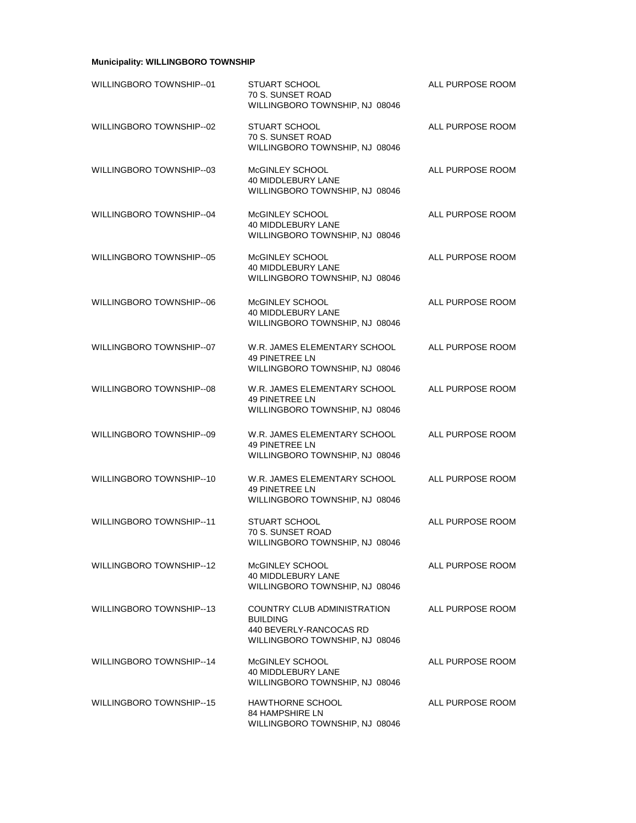# **Municipality: WILLINGBORO TOWNSHIP**

| WILLINGBORO TOWNSHIP--01 | <b>STUART SCHOOL</b><br>70 S. SUNSET ROAD<br>WILLINGBORO TOWNSHIP, NJ 08046                                 | ALL PURPOSE ROOM |
|--------------------------|-------------------------------------------------------------------------------------------------------------|------------------|
| WILLINGBORO TOWNSHIP--02 | <b>STUART SCHOOL</b><br>70 S. SUNSET ROAD<br>WILLINGBORO TOWNSHIP, NJ 08046                                 | ALL PURPOSE ROOM |
| WILLINGBORO TOWNSHIP--03 | McGINLEY SCHOOL<br>40 MIDDLEBURY LANE<br>WILLINGBORO TOWNSHIP, NJ 08046                                     | ALL PURPOSE ROOM |
| WILLINGBORO TOWNSHIP--04 | McGINLEY SCHOOL<br>40 MIDDLEBURY LANE<br>WILLINGBORO TOWNSHIP, NJ 08046                                     | ALL PURPOSE ROOM |
| WILLINGBORO TOWNSHIP--05 | McGINLEY SCHOOL<br>40 MIDDLEBURY LANE<br>WILLINGBORO TOWNSHIP, NJ 08046                                     | ALL PURPOSE ROOM |
| WILLINGBORO TOWNSHIP--06 | McGINLEY SCHOOL<br><b>40 MIDDLEBURY LANE</b><br>WILLINGBORO TOWNSHIP, NJ 08046                              | ALL PURPOSE ROOM |
| WILLINGBORO TOWNSHIP--07 | W.R. JAMES ELEMENTARY SCHOOL<br><b>49 PINETREE LN</b><br>WILLINGBORO TOWNSHIP, NJ 08046                     | ALL PURPOSE ROOM |
| WILLINGBORO TOWNSHIP--08 | W.R. JAMES ELEMENTARY SCHOOL<br>49 PINETREE LN<br>WILLINGBORO TOWNSHIP, NJ 08046                            | ALL PURPOSE ROOM |
| WILLINGBORO TOWNSHIP--09 | W.R. JAMES ELEMENTARY SCHOOL<br>49 PINETREE LN<br>WILLINGBORO TOWNSHIP, NJ 08046                            | ALL PURPOSE ROOM |
| WILLINGBORO TOWNSHIP--10 | W.R. JAMES ELEMENTARY SCHOOL<br><b>49 PINETREE LN</b><br>WILLINGBORO TOWNSHIP, NJ 08046                     | ALL PURPOSE ROOM |
| WILLINGBORO TOWNSHIP--11 | <b>STUART SCHOOL</b><br>70 S. SUNSET ROAD<br>WILLINGBORO TOWNSHIP, NJ 08046                                 | ALL PURPOSE ROOM |
| WILLINGBORO TOWNSHIP--12 | McGINLEY SCHOOL<br>40 MIDDLEBURY LANE<br>WILLINGBORO TOWNSHIP, NJ 08046                                     | ALL PURPOSE ROOM |
| WILLINGBORO TOWNSHIP-13  | COUNTRY CLUB ADMINISTRATION<br><b>BUILDING</b><br>440 BEVERLY-RANCOCAS RD<br>WILLINGBORO TOWNSHIP, NJ 08046 | ALL PURPOSE ROOM |
| WILLINGBORO TOWNSHIP--14 | McGINLEY SCHOOL<br>40 MIDDLEBURY LANE<br>WILLINGBORO TOWNSHIP, NJ 08046                                     | ALL PURPOSE ROOM |
| WILLINGBORO TOWNSHIP--15 | <b>HAWTHORNE SCHOOL</b><br>84 HAMPSHIRE LN<br>WILLINGBORO TOWNSHIP, NJ 08046                                | ALL PURPOSE ROOM |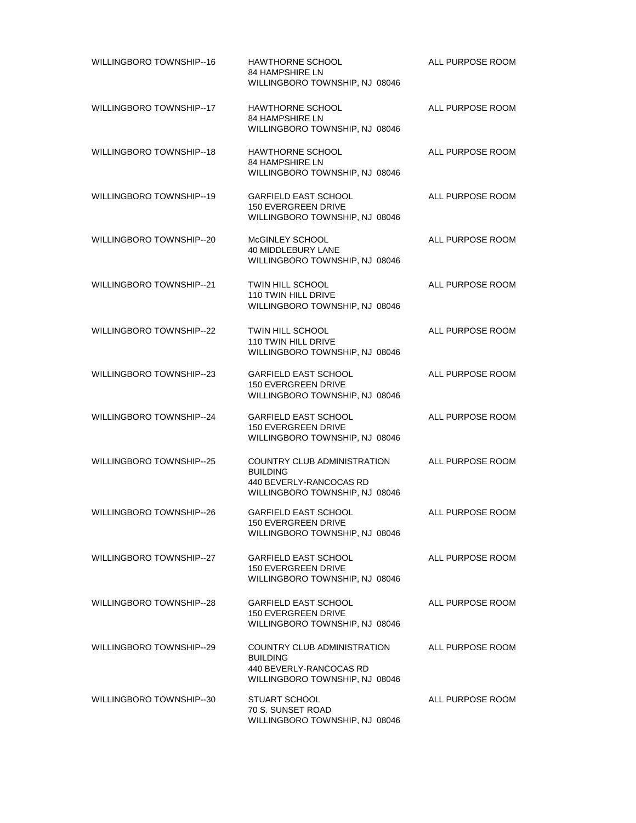| WILLINGBORO TOWNSHIP--16        | <b>HAWTHORNE SCHOOL</b><br>84 HAMPSHIRE LN<br>WILLINGBORO TOWNSHIP, NJ 08046                                       | ALL PURPOSE ROOM |
|---------------------------------|--------------------------------------------------------------------------------------------------------------------|------------------|
| WILLINGBORO TOWNSHIP--17        | <b>HAWTHORNE SCHOOL</b><br><b>84 HAMPSHIRE LN</b><br>WILLINGBORO TOWNSHIP, NJ 08046                                | ALL PURPOSE ROOM |
| WILLINGBORO TOWNSHIP--18        | <b>HAWTHORNE SCHOOL</b><br>84 HAMPSHIRE LN<br>WILLINGBORO TOWNSHIP, NJ 08046                                       | ALL PURPOSE ROOM |
| <b>WILLINGBORO TOWNSHIP--19</b> | <b>GARFIELD EAST SCHOOL</b><br>150 EVERGREEN DRIVE<br>WILLINGBORO TOWNSHIP, NJ 08046                               | ALL PURPOSE ROOM |
| WILLINGBORO TOWNSHIP--20        | McGINLEY SCHOOL<br>40 MIDDLEBURY LANE<br>WILLINGBORO TOWNSHIP, NJ 08046                                            | ALL PURPOSE ROOM |
| WILLINGBORO TOWNSHIP--21        | <b>TWIN HILL SCHOOL</b><br>110 TWIN HILL DRIVE<br>WILLINGBORO TOWNSHIP, NJ 08046                                   | ALL PURPOSE ROOM |
| <b>WILLINGBORO TOWNSHIP--22</b> | <b>TWIN HILL SCHOOL</b><br>110 TWIN HILL DRIVE<br>WILLINGBORO TOWNSHIP, NJ 08046                                   | ALL PURPOSE ROOM |
| WILLINGBORO TOWNSHIP--23        | <b>GARFIELD EAST SCHOOL</b><br>150 EVERGREEN DRIVE<br>WILLINGBORO TOWNSHIP, NJ 08046                               | ALL PURPOSE ROOM |
| WILLINGBORO TOWNSHIP--24        | <b>GARFIELD EAST SCHOOL</b><br>150 EVERGREEN DRIVE<br>WILLINGBORO TOWNSHIP, NJ 08046                               | ALL PURPOSE ROOM |
| WILLINGBORO TOWNSHIP--25        | <b>COUNTRY CLUB ADMINISTRATION</b><br><b>BUILDING</b><br>440 BEVERLY-RANCOCAS RD<br>WILLINGBORO TOWNSHIP, NJ 08046 | ALL PURPOSE ROOM |
| WILLINGBORO TOWNSHIP--26        | <b>GARFIELD EAST SCHOOL</b><br><b>150 EVERGREEN DRIVE</b><br>WILLINGBORO TOWNSHIP, NJ 08046                        | ALL PURPOSE ROOM |
| WILLINGBORO TOWNSHIP--27        | <b>GARFIELD EAST SCHOOL</b><br><b>150 EVERGREEN DRIVE</b><br>WILLINGBORO TOWNSHIP, NJ 08046                        | ALL PURPOSE ROOM |
| WILLINGBORO TOWNSHIP--28        | <b>GARFIELD EAST SCHOOL</b><br><b>150 EVERGREEN DRIVE</b><br>WILLINGBORO TOWNSHIP, NJ 08046                        | ALL PURPOSE ROOM |
| WILLINGBORO TOWNSHIP--29        | <b>COUNTRY CLUB ADMINISTRATION</b><br><b>BUILDING</b><br>440 BEVERLY-RANCOCAS RD<br>WILLINGBORO TOWNSHIP, NJ 08046 | ALL PURPOSE ROOM |
| WILLINGBORO TOWNSHIP-30         | <b>STUART SCHOOL</b><br>70 S. SUNSET ROAD<br>WILLINGBORO TOWNSHIP, NJ 08046                                        | ALL PURPOSE ROOM |